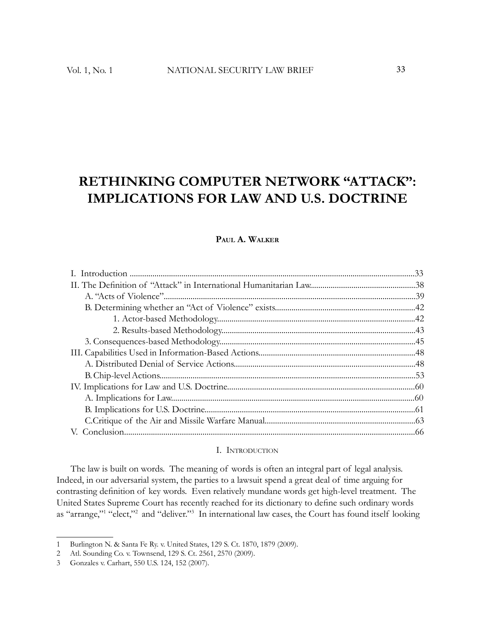# **RETHINKING COMPUTER NETWORK "ATTACK": IMPLICATIONS FOR LAW AND U.S. DOCTRINE**

# **PAUL A. WALKER**

#### I. INTRODUCTION

The law is built on words. The meaning of words is often an integral part of legal analysis. Indeed, in our adversarial system, the parties to a lawsuit spend a great deal of time arguing for contrasting definition of key words. Even relatively mundane words get high-level treatment. The United States Supreme Court has recently reached for its dictionary to define such ordinary words as "arrange,"<sup>1</sup> "elect,"<sup>2</sup> and "deliver."<sup>3</sup> In international law cases, the Court has found itself looking

<sup>1</sup> Burlington N. & Santa Fe Ry. v. United States, 129 S. Ct. 1870, 1879 (2009).

<sup>2</sup> Atl. Sounding Co. v. Townsend, 129 S. Ct. 2561, 2570 (2009).

<sup>3</sup> Gonzales v. Carhart, 550 U.S. 124, 152 (2007).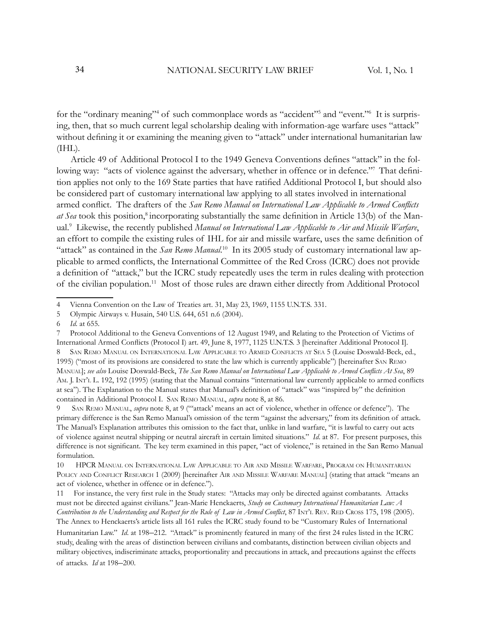for the "ordinary meaning"<sup>4</sup> of such commonplace words as "accident"<sup>5</sup> and "event."<sup>6</sup> It is surprising, then, that so much current legal scholarship dealing with information-age warfare uses "attack" without defining it or examining the meaning given to "attack" under international humanitarian law  $(IIHL)$ .

Article 49 of Additional Protocol I to the 1949 Geneva Conventions defines "attack" in the following way: "acts of violence against the adversary, whether in offence or in defence." That definition applies not only to the 169 State parties that have ratified Additional Protocol I, but should also be considered part of customary international law applying to all states involved in international armed conflict. The drafters of the *San Remo Manual on International Law Applicable to Armed Conflicts* at Sea took this position,<sup>8</sup> incorporating substantially the same definition in Article 13(b) of the Manual.<sup>9</sup> Likewise, the recently published *Manual on International Law Applicable to Air and Missile Warfare*, an effort to compile the existing rules of IHL for air and missile warfare, uses the same definition of "attack" as contained in the *San Remo Manual*.<sup>10</sup> In its 2005 study of customary international law applicable to armed conflicts, the International Committee of the Red Cross (ICRC) does not provide a definition of "attack," but the ICRC study repeatedly uses the term in rules dealing with protection of the civilian population.<sup>11</sup> Most of those rules are drawn either directly from Additional Protocol

9 SAN REMO MANUAL, *supra* note 8, at 9 ("'attack' means an act of violence, whether in offence or defence"). The primary difference is the San Remo Manual's omission of the term "against the adversary," from its definition of attack. The Manual's Explanation attributes this omission to the fact that, unlike in land warfare, "it is lawful to carry out acts of violence against neutral shipping or neutral aircraft in certain limited situations." *Id*. at 87. For present purposes, this difference is not significant. The key term examined in this paper, "act of violence," is retained in the San Remo Manual formulation.

10 HPCR MANUAL ON INTERNATIONAL LAW APPLICABLE TO AIR AND MISSILE WARFARE, PROGRAM ON HUMANITARIAN POLICY AND CONFLICT RESEARCH 1 (2009) [hereinafter AIR AND MISSILE WARFARE MANUAL] (stating that attack "means an act of violence, whether in offence or in defence.").

11 For instance, the very first rule in the Study states: "Attacks may only be directed against combatants. Attacks must not be directed against civilians." Jean-Marie Henckaerts, *Study on Customary International Humanitarian Law: A Contribution to the Understanding and Respect for the Rule of Law in Armed Conflict*, 87 INT'L REV. RED CROSS 175, 198 (2005).

<sup>4</sup> Vienna Convention on the Law of Treaties art. 31, May 23, 1969, 1155 U.N.T.S. 331.

<sup>5</sup> Olympic Airways v. Husain, 540 U.S. 644, 651 n.6 (2004).

<sup>6</sup> *Id*. at 655.

<sup>7</sup> Protocol Additional to the Geneva Conventions of 12 August 1949, and Relating to the Protection of Victims of International Armed Conflicts (Protocol I) art. 49, June 8, 1977, 1125 U.N.T.S. 3 [hereinafter Additional Protocol I]. 8 SAN REMO MANUAL ON INTERNATIONAL LAW APPLICABLE TO ARMED CONFLICTS AT SEA 5 (Louise Doswald-Beck, ed., 1995) ("most of its provisions are considered to state the law which is currently applicable") [hereinafter SAN REMO MANUAL]; see also Louise Doswald-Beck, *The San Remo Manual on International Law Applicable to Armed Conflicts At Sea*, 89 AM. J. INT'L L. 192, 192 (1995) (stating that the Manual contains "international law currently applicable to armed conflicts at sea"). The Explanation to the Manual states that Manual's definition of "attack" was "inspired by" the definition contained in Additional Protocol I. SAN REMO MANUAL, *supra* note 8, at 86.

The Annex to Henckaerts's article lists all 161 rules the ICRC study found to be "Customary Rules of International Humanitarian Law." *Id.* at 198–212. "Attack" is prominently featured in many of the first 24 rules listed in the ICRC study, dealing with the areas of distinction between civilians and combatants, distinction between civilian objects and military objectives, indiscriminate attacks, proportionality and precautions in attack, and precautions against the effects of attacks. *Id* at 198–200.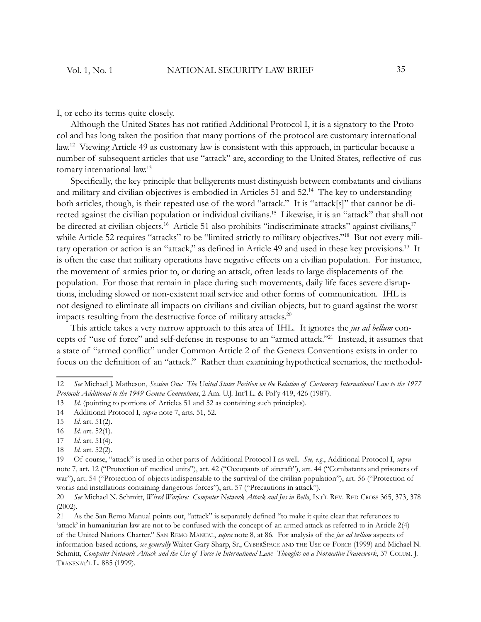I, or echo its terms quite closely.

Although the United States has not ratified Additional Protocol I, it is a signatory to the Protocol and has long taken the position that many portions of the protocol are customary international law.<sup>12</sup> Viewing Article 49 as customary law is consistent with this approach, in particular because a number of subsequent articles that use "attack" are, according to the United States, reflective of customary international law.<sup>13</sup>

Specifically, the key principle that belligerents must distinguish between combatants and civilians and military and civilian objectives is embodied in Articles 51 and 52.<sup>14</sup> The key to understanding both articles, though, is their repeated use of the word "attack." It is "attack[s]" that cannot be directed against the civilian population or individual civilians.<sup>15</sup> Likewise, it is an "attack" that shall not be directed at civilian objects.<sup>16</sup> Article 51 also prohibits "indiscriminate attacks" against civilians,<sup>17</sup> while Article 52 requires "attacks" to be "limited strictly to military objectives."<sup>18</sup> But not every military operation or action is an "attack," as defined in Article 49 and used in these key provisions.<sup>19</sup> It is often the case that military operations have negative effects on a civilian population. For instance, the movement of armies prior to, or during an attack, often leads to large displacements of the population. For those that remain in place during such movements, daily life faces severe disruptions, including slowed or non-existent mail service and other forms of communication. IHL is not designed to eliminate all impacts on civilians and civilian objects, but to guard against the worst impacts resulting from the destructive force of military attacks.<sup>20</sup>

This article takes a very narrow approach to this area of IHL. It ignores the *jus ad bellum* concepts of "use of force" and self-defense in response to an "armed attack."<sup>21</sup> Instead, it assumes that a state of "armed conflict" under Common Article 2 of the Geneva Conventions exists in order to focus on the definition of an "attack." Rather than examining hypothetical scenarios, the methodol-

- 17 *Id*. art. 51(4).
- 18 *Id.* art. 52(2).

<sup>12</sup> *See* Michael J. Matheson, *Session One: The United States Position on the Relation of Customary International Law to the 1977 Protocols Additional to the 1949 Geneva Conventions*, 2 Am. U.J. Int'l L. & Pol'y 419, 426 (1987).

<sup>13</sup> *Id*. (pointing to portions of Articles 51 and 52 as containing such principles).

<sup>14</sup> Additional Protocol I, *supra* note 7, arts. 51, 52.

<sup>15</sup> *Id*. art. 51(2).

<sup>16</sup> *Id*. art. 52(1).

<sup>19</sup> Of course, "attack" is used in other parts of Additional Protocol I as well. *See, e.g.*, Additional Protocol I, *supra* note 7, art. 12 ("Protection of medical units"), art. 42 ("Occupants of aircraft"), art. 44 ("Combatants and prisoners of war"), art. 54 ("Protection of objects indispensable to the survival of the civilian population"), art. 56 ("Protection of works and installations containing dangerous forces"), art. 57 ("Precautions in attack").

<sup>20</sup> *See* Michael N. Schmitt, *Wired Warfare: Computer Network Attack and Jus in Bello*, INT'L REV. RED CROSS 365, 373, 378 (2002).

<sup>21</sup> As the San Remo Manual points out, "attack" is separately defined "to make it quite clear that references to 'attack' in humanitarian law are not to be confused with the concept of an armed attack as referred to in Article 2(4) of the United Nations Charter." SAN REMO MANUAL, *supra* note 8, at 86. For analysis of the *jus ad bellum* aspects of information-based actions, *see generally* Walter Gary Sharp, Sr., CYBERSPACE AND THE USE OF FORCE (1999) and Michael N. Schmitt, *Computer Network Attack and the Use of Force in International Law: Thoughts on a Normative Framework*, 37 COLUM. J. TRANSNAT'L L. 885 (1999).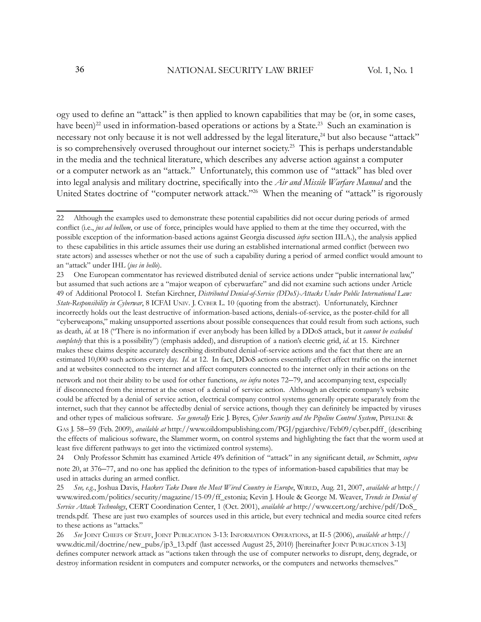ogy used to define an "attack" is then applied to known capabilities that may be (or, in some cases, have been)<sup>22</sup> used in information-based operations or actions by a State.<sup>23</sup> Such an examination is necessary not only because it is not well addressed by the legal literature,<sup>24</sup> but also because "attack" is so comprehensively overused throughout our internet society.<sup>25</sup> This is perhaps understandable in the media and the technical literature, which describes any adverse action against a computer or a computer network as an "attack." Unfortunately, this common use of "attack" has bled over into legal analysis and military doctrine, specifically into the *Air and Missile Warfare Manual* and the United States doctrine of "computer network attack."<sup>26</sup> When the meaning of "attack" is rigorously

network and not their ability to be used for other functions, *see infra* notes 72–79, and accompanying text, especially if disconnected from the internet at the onset of a denial of service action. Although an electric company's website could be affected by a denial of service action, electrical company control systems generally operate separately from the internet, such that they cannot be affectedby denial of service actions, though they can definitely be impacted by viruses and other types of malicious software. *See generally* Eric J. Byres, *Cyber Security and the Pipeline Control System*, PIPELINE & GAS J. 58–59 (Feb. 2009), *available at* http://www.oildompublishing.com/PGJ/pgjarchive/Feb09/cyber.pdff (describing the effects of malicious software, the Slammer worm, on control systems and highlighting the fact that the worm used at least five different pathways to get into the victimized control systems).

24 Only Professor Schmitt has examined Article 49's definition of "attack" in any significant detail, *see* Schmitt, *supra* note 20, at 376–77, and no one has applied the definition to the types of information-based capabilities that may be used in attacks during an armed conflict.

25 *See, e.g.*, Joshua Davis, *Hackers Take Down the Most Wired Country in Europe*, WIRED, Aug. 21, 2007, *available at* http:// www.wired.com/politics/security/magazine/15-09/ff\_estonia; Kevin J. Houle & George M. Weaver, *Trends in Denial of Service Attack Technology*, CERT Coordination Center, 1 (Oct. 2001), *available at* http://www.cert.org/archive/pdf/DoS\_ trends.pdf. These are just two examples of sources used in this article, but every technical and media source cited refers to these actions as "attacks."

<sup>22</sup> Although the examples used to demonstrate these potential capabilities did not occur during periods of armed conflict (i.e., *jus ad bellum*, or use of force, principles would have applied to them at the time they occurred, with the possible exception of the information-based actions against Georgia discussed *infra* section III.A.), the analysis applied to these capabilities in this article assumes their use during an established international armed conflict (between two state actors) and assesses whether or not the use of such a capability during a period of armed conflict would amount to an "attack" under IHL (*jus in bello*).

<sup>23</sup> One European commentator has reviewed distributed denial of service actions under "public international law," but assumed that such actions are a "major weapon of cyberwarfare" and did not examine such actions under Article 49 of Additional Protocol I. Stefan Kirchner, *Distributed Denial-of-Service (DDoS)-Attacks Under Public International Law: State-Responsibility in Cyberwar*, 8 ICFAI UNIV. J. CYBER L. 10 (quoting from the abstract). Unfortunately, Kirchner incorrectly holds out the least destructive of information-based actions, denials-of-service, as the poster-child for all "cyberweapons," making unsupported assertions about possible consequences that could result from such actions, such as death, *id*. at 18 ("There is no information if ever anybody has been killed by a DDoS attack, but it *cannot be excluded completely* that this is a possibility") (emphasis added), and disruption of a nation's electric grid, *id*. at 15. Kirchner makes these claims despite accurately describing distributed denial-of-service actions and the fact that there are an estimated 10,000 such actions every day. *Id.* at 12. In fact, DDoS actions essentially effect affect traffic on the internet and at websites connected to the internet and affect computers connected to the internet only in their actions on the

<sup>26</sup> *See* JOINT CHIEFS OF STAFF, JOINT PUBLICATION 3-13: INFORMATION OPERATIONS, at II-5 (2006), *available at* http:// www.dtic.mil/doctrine/new\_pubs/jp3\_13.pdf (last accessed August 25, 2010) [hereinafter JOINT PUBLICATION 3-13] defines computer network attack as "actions taken through the use of computer networks to disrupt, deny, degrade, or destroy information resident in computers and computer networks, or the computers and networks themselves."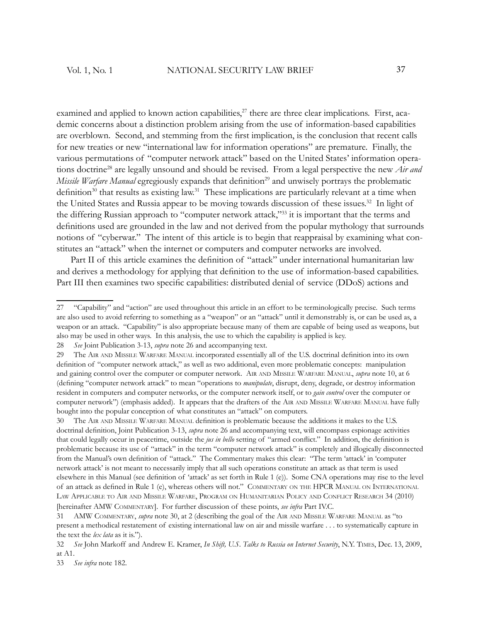examined and applied to known action capabilities, $27$  there are three clear implications. First, academic concerns about a distinction problem arising from the use of information-based capabilities are overblown. Second, and stemming from the first implication, is the conclusion that recent calls for new treaties or new "international law for information operations" are premature. Finally, the various permutations of "computer network attack" based on the United States' information operations doctrine<sup>28</sup> are legally unsound and should be revised. From a legal perspective the new *Air and Missile Warfare Manual* egregiously expands that definition<sup>29</sup> and unwisely portrays the problematic definition<sup>30</sup> that results as existing law.<sup>31</sup> These implications are particularly relevant at a time when the United States and Russia appear to be moving towards discussion of these issues.<sup>32</sup> In light of the differing Russian approach to "computer network attack,"<sup>33</sup> it is important that the terms and definitions used are grounded in the law and not derived from the popular mythology that surrounds notions of "cyberwar." The intent of this article is to begin that reappraisal by examining what constitutes an "attack" when the internet or computers and computer networks are involved.

Part II of this article examines the definition of "attack" under international humanitarian law and derives a methodology for applying that definition to the use of information-based capabilities. Part III then examines two specific capabilities: distributed denial of service (DDoS) actions and

33 *See infra* note 182.

<sup>27 &</sup>quot;Capability" and "action" are used throughout this article in an effort to be terminologically precise. Such terms are also used to avoid referring to something as a "weapon" or an "attack" until it demonstrably is, or can be used as, a weapon or an attack. "Capability" is also appropriate because many of them are capable of being used as weapons, but also may be used in other ways. In this analysis, the use to which the capability is applied is key.

<sup>28</sup> *See* Joint Publication 3-13, *supra* note 26 and accompanying text.

<sup>29</sup> The AIR AND MISSILE WARFARE MANUAL incorporated essentially all of the U.S. doctrinal definition into its own definition of "computer network attack," as well as two additional, even more problematic concepts: manipulation and gaining control over the computer or computer network. AIR AND MISSILE WARFARE MANUAL, *supra* note 10, at 6 (defining "computer network attack" to mean "operations to *manipulate*, disrupt, deny, degrade, or destroy information resident in computers and computer networks, or the computer network itself, or to *gain control* over the computer or computer network") (emphasis added). It appears that the drafters of the AIR AND MISSILE WARFARE MANUAL have fully bought into the popular conception of what constitutes an "attack" on computers.

<sup>30</sup> The AIR AND MISSILE WARFARE MANUAL definition is problematic because the additions it makes to the U.S. doctrinal definition, Joint Publication 3-13, *supra* note 26 and accompanying text, will encompass espionage activities that could legally occur in peacetime, outside the *jus in bello* setting of "armed conflict." In addition, the definition is problematic because its use of "attack" in the term "computer network attack" is completely and illogically disconnected from the Manual's own definition of "attack." The Commentary makes this clear: "The term 'attack' in 'computer network attack' is not meant to necessarily imply that all such operations constitute an attack as that term is used elsewhere in this Manual (see definition of 'attack' as set forth in Rule 1 (e)). Some CNA operations may rise to the level of an attack as defined in Rule 1 (e), whereas others will not." COMMENTARY ON THE HPCR MANUAL ON INTERNATIONAL LAW APPLICABLE TO AIR AND MISSILE WARFARE, PROGRAM ON HUMANITARIAN POLICY AND CONFLICT RESEARCH 34 (2010) [hereinafter AMW COMMENTARY]. For further discussion of these points, *see infra* Part IV.C.

<sup>31</sup> AMW COMMENTARY, *supra* note 30, at 2 (describing the goal of the AIR AND MISSILE WARFARE MANUAL as "to present a methodical restatement of existing international law on air and missile warfare . . . to systematically capture in the text the *lex lata* as it is.").

<sup>32</sup> *See* John Markoff and Andrew E. Kramer, *In Shift, U.S. Talks to Russia on Internet Security*, N.Y. TIMES, Dec. 13, 2009, at A1.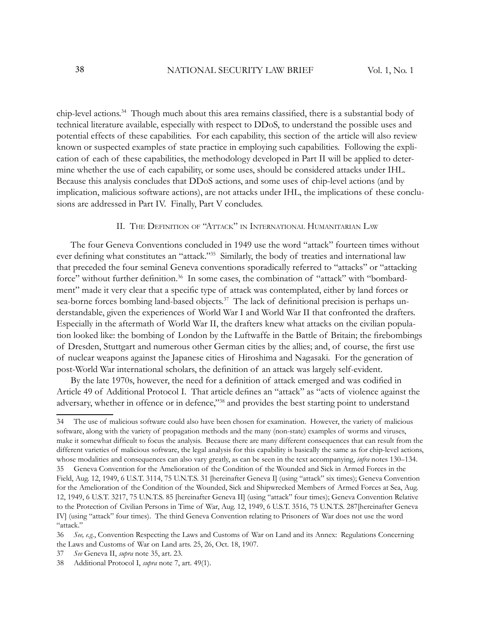chip-level actions.<sup>34</sup> Though much about this area remains classified, there is a substantial body of technical literature available, especially with respect to DDoS, to understand the possible uses and potential effects of these capabilities. For each capability, this section of the article will also review known or suspected examples of state practice in employing such capabilities. Following the explication of each of these capabilities, the methodology developed in Part II will be applied to determine whether the use of each capability, or some uses, should be considered attacks under IHL. Because this analysis concludes that DDoS actions, and some uses of chip-level actions (and by implication, malicious software actions), are not attacks under IHL, the implications of these conclusions are addressed in Part IV. Finally, Part V concludes.

## II. THE DEFINITION OF "ATTACK" IN INTERNATIONAL HUMANITARIAN LAW

The four Geneva Conventions concluded in 1949 use the word "attack" fourteen times without ever defining what constitutes an "attack."<sup>35</sup> Similarly, the body of treaties and international law that preceded the four seminal Geneva conventions sporadically referred to "attacks" or "attacking force" without further definition.<sup>36</sup> In some cases, the combination of "attack" with "bombardment" made it very clear that a specific type of attack was contemplated, either by land forces or sea-borne forces bombing land-based objects.<sup>37</sup> The lack of definitional precision is perhaps understandable, given the experiences of World War I and World War II that confronted the drafters. Especially in the aftermath of World War II, the drafters knew what attacks on the civilian population looked like: the bombing of London by the Luftwaffe in the Battle of Britain; the firebombings of Dresden, Stuttgart and numerous other German cities by the allies; and, of course, the first use of nuclear weapons against the Japanese cities of Hiroshima and Nagasaki. For the generation of post-World War international scholars, the definition of an attack was largely self-evident.

By the late 1970s, however, the need for a definition of attack emerged and was codified in Article 49 of Additional Protocol I. That article defines an "attack" as "acts of violence against the adversary, whether in offence or in defence,"<sup>38</sup> and provides the best starting point to understand

<sup>34</sup> The use of malicious software could also have been chosen for examination. However, the variety of malicious software, along with the variety of propagation methods and the many (non-state) examples of worms and viruses, make it somewhat difficult to focus the analysis. Because there are many different consequences that can result from the different varieties of malicious software, the legal analysis for this capability is basically the same as for chip-level actions, whose modalities and consequences can also vary greatly, as can be seen in the text accompanying, *infra* notes 130–134.

<sup>35</sup> Geneva Convention for the Amelioration of the Condition of the Wounded and Sick in Armed Forces in the Field, Aug. 12, 1949, 6 U.S.T. 3114, 75 U.N.T.S. 31 [hereinafter Geneva I] (using "attack" six times); Geneva Convention for the Amelioration of the Condition of the Wounded, Sick and Shipwrecked Members of Armed Forces at Sea, Aug. 12, 1949, 6 U.S.T. 3217, 75 U.N.T.S. 85 [hereinafter Geneva II] (using "attack" four times); Geneva Convention Relative to the Protection of Civilian Persons in Time of War, Aug. 12, 1949, 6 U.S.T. 3516, 75 U.N.T.S. 287[hereinafter Geneva IV] (using "attack" four times). The third Geneva Convention relating to Prisoners of War does not use the word "attack."

<sup>36</sup> *See, e.g.*, Convention Respecting the Laws and Customs of War on Land and its Annex: Regulations Concerning the Laws and Customs of War on Land arts. 25, 26, Oct. 18, 1907.

<sup>37</sup> *See* Geneva II, *supra* note 35, art. 23.

<sup>38</sup> Additional Protocol I, *supra* note 7, art. 49(1).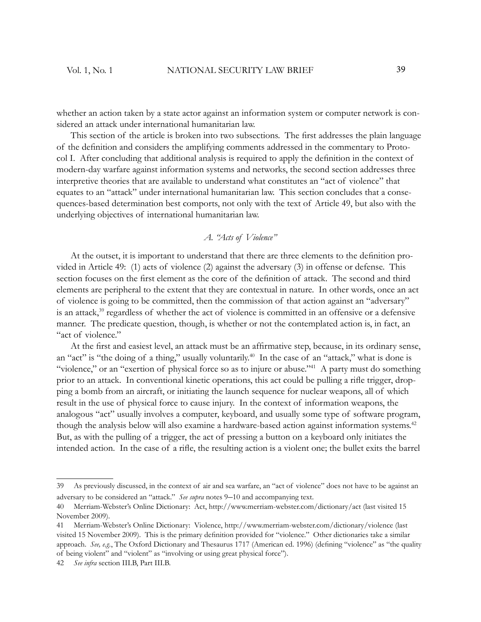whether an action taken by a state actor against an information system or computer network is considered an attack under international humanitarian law.

This section of the article is broken into two subsections. The first addresses the plain language of the definition and considers the amplifying comments addressed in the commentary to Protocol I. After concluding that additional analysis is required to apply the definition in the context of modern-day warfare against information systems and networks, the second section addresses three interpretive theories that are available to understand what constitutes an "act of violence" that equates to an "attack" under international humanitarian law. This section concludes that a consequences-based determination best comports, not only with the text of Article 49, but also with the underlying objectives of international humanitarian law.

# *A. "Acts of Violence"*

At the outset, it is important to understand that there are three elements to the definition provided in Article 49: (1) acts of violence (2) against the adversary (3) in offense or defense. This section focuses on the first element as the core of the definition of attack. The second and third elements are peripheral to the extent that they are contextual in nature. In other words, once an act of violence is going to be committed, then the commission of that action against an "adversary" is an attack,<sup>39</sup> regardless of whether the act of violence is committed in an offensive or a defensive manner. The predicate question, though, is whether or not the contemplated action is, in fact, an "act of violence."

At the first and easiest level, an attack must be an affirmative step, because, in its ordinary sense, an "act" is "the doing of a thing," usually voluntarily.<sup>40</sup> In the case of an "attack," what is done is "violence," or an "exertion of physical force so as to injure or abuse."<sup>41</sup> A party must do something prior to an attack. In conventional kinetic operations, this act could be pulling a rifle trigger, dropping a bomb from an aircraft, or initiating the launch sequence for nuclear weapons, all of which result in the use of physical force to cause injury. In the context of information weapons, the analogous "act" usually involves a computer, keyboard, and usually some type of software program, though the analysis below will also examine a hardware-based action against information systems.<sup>42</sup> But, as with the pulling of a trigger, the act of pressing a button on a keyboard only initiates the intended action. In the case of a rifle, the resulting action is a violent one; the bullet exits the barrel

<sup>39</sup> As previously discussed, in the context of air and sea warfare, an "act of violence" does not have to be against an adversary to be considered an "attack." *See supra* notes 9–10 and accompanying text.

<sup>40</sup> Merriam-Webster's Online Dictionary: Act, http://www.merriam-webster.com/dictionary/act (last visited 15 November 2009).

<sup>41</sup> Merriam-Webster's Online Dictionary: Violence, http://www.merriam-webster.com/dictionary/violence (last visited 15 November 2009). This is the primary definition provided for "violence." Other dictionaries take a similar approach. *See, e.g.*, The Oxford Dictionary and Thesaurus 1717 (American ed. 1996) (defining "violence" as "the quality of being violent" and "violent" as "involving or using great physical force").

<sup>42</sup> *See infra* section III.B, Part III.B.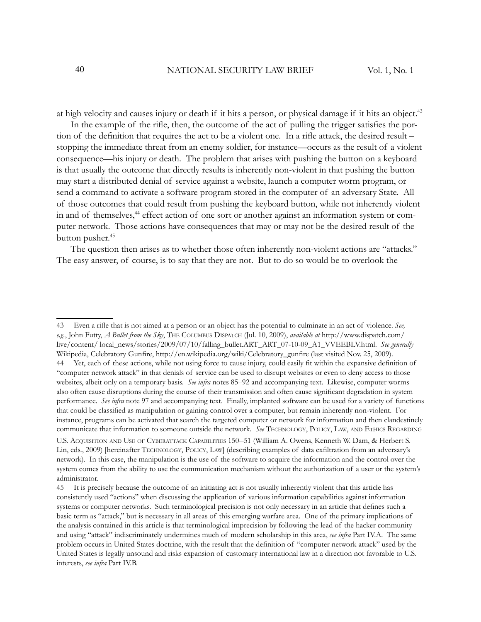at high velocity and causes injury or death if it hits a person, or physical damage if it hits an object.<sup>43</sup>

In the example of the rifle, then, the outcome of the act of pulling the trigger satisfies the portion of the definition that requires the act to be a violent one. In a rifle attack, the desired result – stopping the immediate threat from an enemy soldier, for instance—occurs as the result of a violent consequence—his injury or death. The problem that arises with pushing the button on a keyboard is that usually the outcome that directly results is inherently non-violent in that pushing the button may start a distributed denial of service against a website, launch a computer worm program, or send a command to activate a software program stored in the computer of an adversary State. All of those outcomes that could result from pushing the keyboard button, while not inherently violent in and of themselves,<sup>44</sup> effect action of one sort or another against an information system or computer network. Those actions have consequences that may or may not be the desired result of the button pusher.<sup>45</sup>

The question then arises as to whether those often inherently non-violent actions are "attacks." The easy answer, of course, is to say that they are not. But to do so would be to overlook the

44 Yet, each of these actions, while not using force to cause injury, could easily fit within the expansive definition of "computer network attack" in that denials of service can be used to disrupt websites or even to deny access to those websites, albeit only on a temporary basis. *See infra* notes 85–92 and accompanying text. Likewise, computer worms also often cause disruptions during the course of their transmission and often cause significant degradation in system performance. *See infra* note 97 and accompanying text. Finally, implanted software can be used for a variety of functions that could be classified as manipulation or gaining control over a computer, but remain inherently non-violent. For instance, programs can be activated that search the targeted computer or network for information and then clandestinely communicate that information to someone outside the network. *See* TECHNOLOGY, POLICY, LAW, AND ETHICS REGARDING U.S. ACQUISITION AND USE OF CYBERATTACK CAPABILITIES 150–51 (William A. Owens, Kenneth W. Dam, & Herbert S. Lin, eds., 2009) [hereinafter TECHNOLOGY, POLICY, LAW] (describing examples of data exfiltration from an adversary's network). In this case, the manipulation is the use of the software to acquire the information and the control over the system comes from the ability to use the communication mechanism without the authorization of a user or the system's

<sup>43</sup> Even a rifle that is not aimed at a person or an object has the potential to culminate in an act of violence. *See*, *e.g.*, John Futty, *A Bullet from the Sky*, THE COLUMBUS DISPATCH (Jul. 10, 2009), *available at* http://www.dispatch.com/ live/content/ local\_news/stories/2009/07/10/falling\_bullet.ART\_ART\_07-10-09\_A1\_VVEEBLV.html. *See generally* Wikipedia, Celebratory Gunfire, http://en.wikipedia.org/wiki/Celebratory\_gunfire (last visited Nov. 25, 2009).

administrator. 45 It is precisely because the outcome of an initiating act is not usually inherently violent that this article has consistently used "actions" when discussing the application of various information capabilities against information systems or computer networks. Such terminological precision is not only necessary in an article that defines such a basic term as "attack," but is necessary in all areas of this emerging warfare area. One of the primary implications of the analysis contained in this article is that terminological imprecision by following the lead of the hacker community and using "attack" indiscriminately undermines much of modern scholarship in this area, *see infra* Part IV.A. The same problem occurs in United States doctrine, with the result that the definition of "computer network attack" used by the United States is legally unsound and risks expansion of customary international law in a direction not favorable to U.S. interests, *see infra* Part IV.B.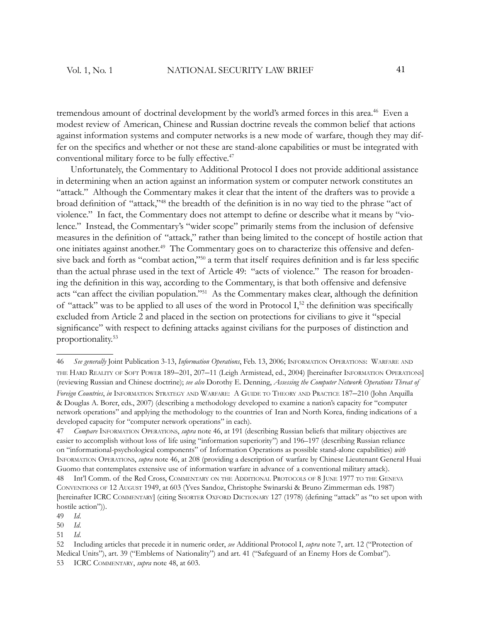tremendous amount of doctrinal development by the world's armed forces in this area.<sup>46</sup> Even a modest review of American, Chinese and Russian doctrine reveals the common belief that actions against information systems and computer networks is a new mode of warfare, though they may differ on the specifics and whether or not these are stand-alone capabilities or must be integrated with conventional military force to be fully effective.<sup>47</sup>

Unfortunately, the Commentary to Additional Protocol I does not provide additional assistance in determining when an action against an information system or computer network constitutes an "attack." Although the Commentary makes it clear that the intent of the drafters was to provide a broad definition of "attack,"<sup>48</sup> the breadth of the definition is in no way tied to the phrase "act of violence." In fact, the Commentary does not attempt to define or describe what it means by "violence." Instead, the Commentary's "wider scope" primarily stems from the inclusion of defensive measures in the definition of "attack," rather than being limited to the concept of hostile action that one initiates against another.<sup>49</sup> The Commentary goes on to characterize this offensive and defensive back and forth as "combat action,"<sup>50</sup> a term that itself requires definition and is far less specific than the actual phrase used in the text of Article 49: "acts of violence." The reason for broadening the definition in this way, according to the Commentary, is that both offensive and defensive acts "can affect the civilian population."<sup>51</sup> As the Commentary makes clear, although the definition of "attack" was to be applied to all uses of the word in Protocol  $I<sub>2</sub>$ , the definition was specifically excluded from Article 2 and placed in the section on protections for civilians to give it "special significance" with respect to defining attacks against civilians for the purposes of distinction and proportionality.<sup>53</sup>

<sup>46</sup> *See generally* Joint Publication 3-13, *Information Operations*, Feb. 13, 2006; INFORMATION OPERATIONS: WARFARE AND THE HARD REALITY OF SOFT POWER 189–201, 207–11 (Leigh Armistead, ed., 2004) [hereinafter INFORMATION OPERATIONS] (reviewing Russian and Chinese doctrine); *see also* Dorothy E. Denning, *Assessing the Computer Network Operations Threat of Foreign Countries*, *in* INFORMATION STRATEGY AND WARFARE: A GUIDE TO THEORY AND PRACTICE 187–210 (John Arquilla & Douglas A. Borer, eds., 2007) (describing a methodology developed to examine a nation's capacity for "computer network operations" and applying the methodology to the countries of Iran and North Korea, finding indications of a developed capacity for "computer network operations" in each).

<sup>47</sup> *Compare* INFORMATION OPERATIONS, *supra* note 46, at 191 (describing Russian beliefs that military objectives are easier to accomplish without loss of life using "information superiority") and 196–197 (describing Russian reliance on "informational-psychological components" of Information Operations as possible stand-alone capabilities) *with* INFORMATION OPERATIONS, *supra* note 46, at 208 (providing a description of warfare by Chinese Lieutenant General Huai Guomo that contemplates extensive use of information warfare in advance of a conventional military attack). 48 Int'l Comm. of the Red Cross, COMMENTARY ON THE ADDITIONAL PROTOCOLS OF 8 JUNE 1977 TO THE GENEVA

CONVENTIONS OF 12 AUGUST 1949, at 603 (Yves Sandoz, Christophe Swinarski & Bruno Zimmerman eds. 1987) [hereinafter ICRC COMMENTARY] (citing SHORTER OXFORD DICTIONARY 127 (1978) (defining "attack" as "to set upon with hostile action")).

<sup>49</sup> *Id*.

<sup>50</sup> *Id*.

<sup>51</sup> *Id*.

<sup>52</sup> Including articles that precede it in numeric order, *see* Additional Protocol I, *supra* note 7, art. 12 ("Protection of Medical Units"), art. 39 ("Emblems of Nationality") and art. 41 ("Safeguard of an Enemy Hors de Combat"). ICRC COMMENTARY, *supra* note 48, at 603.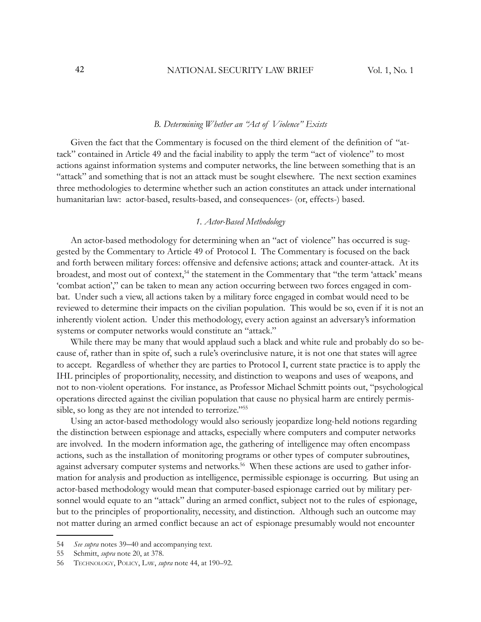#### *B. Determining Whether an "Act of Violence" Exists*

Given the fact that the Commentary is focused on the third element of the definition of "attack" contained in Article 49 and the facial inability to apply the term "act of violence" to most actions against information systems and computer networks, the line between something that is an "attack" and something that is not an attack must be sought elsewhere. The next section examines three methodologies to determine whether such an action constitutes an attack under international humanitarian law: actor-based, results-based, and consequences- (or, effects-) based.

#### *1. Actor-Based Methodology*

An actor-based methodology for determining when an "act of violence" has occurred is suggested by the Commentary to Article 49 of Protocol I. The Commentary is focused on the back and forth between military forces: offensive and defensive actions; attack and counter-attack. At its broadest, and most out of context,<sup>54</sup> the statement in the Commentary that "the term 'attack' means 'combat action'," can be taken to mean any action occurring between two forces engaged in combat. Under such a view, all actions taken by a military force engaged in combat would need to be reviewed to determine their impacts on the civilian population. This would be so, even if it is not an inherently violent action. Under this methodology, every action against an adversary's information systems or computer networks would constitute an "attack."

While there may be many that would applaud such a black and white rule and probably do so because of, rather than in spite of, such a rule's overinclusive nature, it is not one that states will agree to accept. Regardless of whether they are parties to Protocol I, current state practice is to apply the IHL principles of proportionality, necessity, and distinction to weapons and uses of weapons, and not to non-violent operations. For instance, as Professor Michael Schmitt points out, "psychological operations directed against the civilian population that cause no physical harm are entirely permissible, so long as they are not intended to terrorize."<sup>55</sup>

Using an actor-based methodology would also seriously jeopardize long-held notions regarding the distinction between espionage and attacks, especially where computers and computer networks are involved. In the modern information age, the gathering of intelligence may often encompass actions, such as the installation of monitoring programs or other types of computer subroutines, against adversary computer systems and networks.<sup>56</sup> When these actions are used to gather information for analysis and production as intelligence, permissible espionage is occurring. But using an actor-based methodology would mean that computer-based espionage carried out by military personnel would equate to an "attack" during an armed conflict, subject not to the rules of espionage, but to the principles of proportionality, necessity, and distinction. Although such an outcome may not matter during an armed conflict because an act of espionage presumably would not encounter

<sup>54</sup> *See supra* notes 39–40 and accompanying text.

<sup>55</sup> Schmitt, *supra* note 20, at 378.

<sup>56</sup> TECHNOLOGY, POLICY, LAW, *supra* note 44, at 190–92.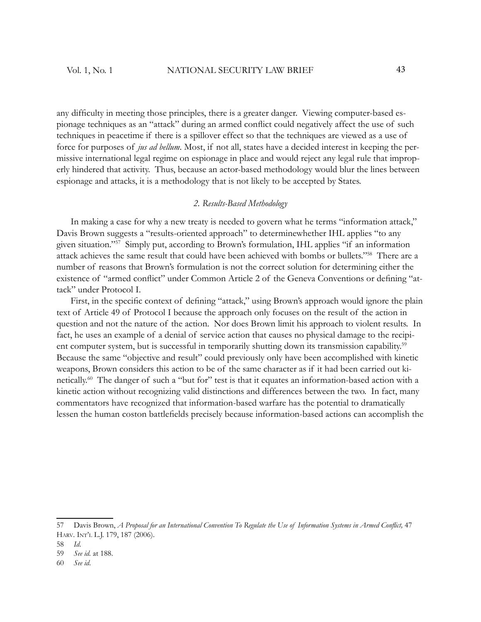any difficulty in meeting those principles, there is a greater danger. Viewing computer-based espionage techniques as an "attack" during an armed conflict could negatively affect the use of such techniques in peacetime if there is a spillover effect so that the techniques are viewed as a use of force for purposes of *jus ad bellum*. Most, if not all, states have a decided interest in keeping the permissive international legal regime on espionage in place and would reject any legal rule that improperly hindered that activity. Thus, because an actor-based methodology would blur the lines between espionage and attacks, it is a methodology that is not likely to be accepted by States.

## *2. Results-Based Methodology*

In making a case for why a new treaty is needed to govern what he terms "information attack," Davis Brown suggests a "results-oriented approach" to determinewhether IHL applies "to any given situation." <sup>57</sup> Simply put, according to Brown's formulation, IHL applies "if an information attack achieves the same result that could have been achieved with bombs or bullets."<sup>58</sup> There are a number of reasons that Brown's formulation is not the correct solution for determining either the existence of "armed conflict" under Common Article 2 of the Geneva Conventions or defining "attack" under Protocol I.

First, in the specific context of defining "attack," using Brown's approach would ignore the plain text of Article 49 of Protocol I because the approach only focuses on the result of the action in question and not the nature of the action. Nor does Brown limit his approach to violent results. In fact, he uses an example of a denial of service action that causes no physical damage to the recipient computer system, but is successful in temporarily shutting down its transmission capability.<sup>59</sup> Because the same "objective and result" could previously only have been accomplished with kinetic weapons, Brown considers this action to be of the same character as if it had been carried out kinetically.<sup>60</sup> The danger of such a "but for" test is that it equates an information-based action with a kinetic action without recognizing valid distinctions and differences between the two. In fact, many commentators have recognized that information-based warfare has the potential to dramatically lessen the human coston battlefields precisely because information-based actions can accomplish the

<sup>57</sup> Davis Brown, *A Proposal for an International Convention To Regulate the Use of Information Systems in Armed Conflict*, 47 HARV. INT'L L.J. 179, 187 (2006).

<sup>58</sup> *Id*.

<sup>59</sup> *See id.* at 188.

<sup>60</sup> *See id*.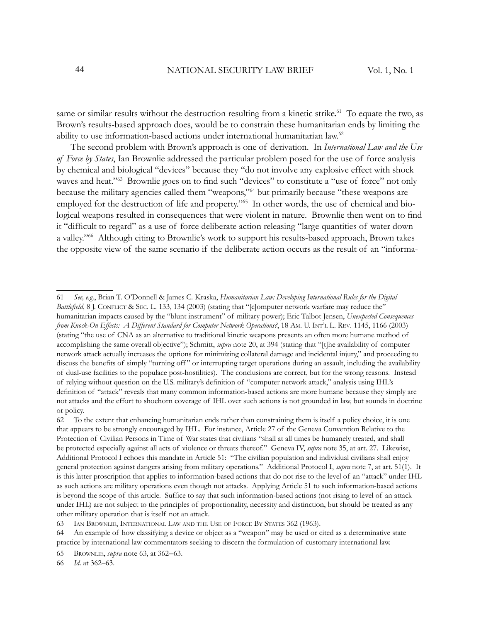same or similar results without the destruction resulting from a kinetic strike.<sup>61</sup> To equate the two, as Brown's results-based approach does, would be to constrain these humanitarian ends by limiting the ability to use information-based actions under international humanitarian law.<sup>62</sup>

The second problem with Brown's approach is one of derivation. In *International Law and the Use of Force by States*, Ian Brownlie addressed the particular problem posed for the use of force analysis by chemical and biological "devices" because they "do not involve any explosive effect with shock waves and heat."<sup>63</sup> Brownlie goes on to find such "devices" to constitute a "use of force" not only because the military agencies called them "weapons,"<sup>64</sup> but primarily because "these weapons are employed for the destruction of life and property."<sup>65</sup> In other words, the use of chemical and biological weapons resulted in consequences that were violent in nature. Brownlie then went on to find it "difficult to regard" as a use of force deliberate action releasing "large quantities of water down a valley."<sup>66</sup> Although citing to Brownlie's work to support his results-based approach, Brown takes the opposite view of the same scenario if the deliberate action occurs as the result of an "informa-

63 IAN BROWNLIE, INTERNATIONAL LAW AND THE USE OF FORCE BY STATES 362 (1963).

66 *Id*. at 362–63.

<sup>61</sup> *See, e.g.*, Brian T. O'Donnell & James C. Kraska, *Humanitarian Law: Developing International Rules for the Digital Battlefield*, 8 J. CONFLICT & SEC. L. 133, 134 (2003) (stating that "[c]omputer network warfare may reduce the" humanitarian impacts caused by the "blunt instrument" of military power); Eric Talbot Jensen, *Unexpected Consequences from Knock-On Effects: A Different Standard for Computer Network Operations?*, 18 AM. U. INT'L L. REV. 1145, 1166 (2003) (stating "the use of CNA as an alternative to traditional kinetic weapons presents an often more humane method of accomplishing the same overall objective"); Schmitt, *supra* note 20, at 394 (stating that "[t]he availability of computer network attack actually increases the options for minimizing collateral damage and incidental injury," and proceeding to discuss the benefits of simply "turning off" or interrupting target operations during an assault, including the availability of dual-use facilities to the populace post-hostilities). The conclusions are correct, but for the wrong reasons. Instead of relying without question on the U.S. military's definition of "computer network attack," analysis using IHL's definition of "attack" reveals that many common information-based actions are more humane because they simply are not attacks and the effort to shoehorn coverage of IHL over such actions is not grounded in law, but sounds in doctrine or policy.

<sup>62</sup> To the extent that enhancing humanitarian ends rather than constraining them is itself a policy choice, it is one that appears to be strongly encouraged by IHL. For instance, Article 27 of the Geneva Convention Relative to the Protection of Civilian Persons in Time of War states that civilians "shall at all times be humanely treated, and shall be protected especially against all acts of violence or threats thereof." Geneva IV, *supra* note 35, at art. 27. Likewise, Additional Protocol I echoes this mandate in Article 51: "The civilian population and individual civilians shall enjoy general protection against dangers arising from military operations." Additional Protocol I, *supra* note 7, at art. 51(1). It is this latter proscription that applies to information-based actions that do not rise to the level of an "attack" under IHL as such actions are military operations even though not attacks. Applying Article 51 to such information-based actions is beyond the scope of this article. Suffice to say that such information-based actions (not rising to level of an attack under IHL) are not subject to the principles of proportionality, necessity and distinction, but should be treated as any other military operation that is itself not an attack.

<sup>64</sup> An example of how classifying a device or object as a "weapon" may be used or cited as a determinative state practice by international law commentators seeking to discern the formulation of customary international law.

<sup>65</sup> BROWNLIE, *supra* note 63, at 362–63.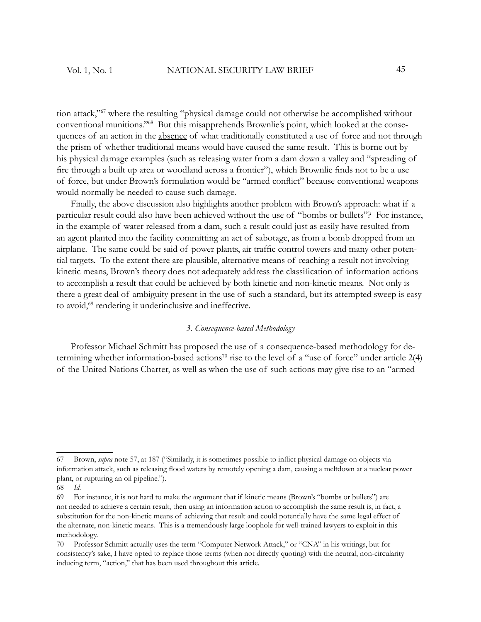tion attack,"<sup>67</sup> where the resulting "physical damage could not otherwise be accomplished without conventional munitions."68 But this misapprehends Brownlie's point, which looked at the consequences of an action in the absence of what traditionally constituted a use of force and not through the prism of whether traditional means would have caused the same result. This is borne out by his physical damage examples (such as releasing water from a dam down a valley and "spreading of fire through a built up area or woodland across a frontier"), which Brownlie finds not to be a use of force, but under Brown's formulation would be "armed conflict" because conventional weapons would normally be needed to cause such damage.

Finally, the above discussion also highlights another problem with Brown's approach: what if a particular result could also have been achieved without the use of "bombs or bullets"? For instance, in the example of water released from a dam, such a result could just as easily have resulted from an agent planted into the facility committing an act of sabotage, as from a bomb dropped from an airplane. The same could be said of power plants, air traffic control towers and many other potential targets. To the extent there are plausible, alternative means of reaching a result not involving kinetic means, Brown's theory does not adequately address the classification of information actions to accomplish a result that could be achieved by both kinetic and non-kinetic means. Not only is there a great deal of ambiguity present in the use of such a standard, but its attempted sweep is easy to avoid,<sup>69</sup> rendering it underinclusive and ineffective.

# *3. Consequence-based Methodology*

Professor Michael Schmitt has proposed the use of a consequence-based methodology for determining whether information-based actions<sup>70</sup> rise to the level of a "use of force" under article  $2(4)$ of the United Nations Charter, as well as when the use of such actions may give rise to an "armed

<sup>67</sup> Brown, *supra* note 57, at 187 ("Similarly, it is sometimes possible to inflict physical damage on objects via information attack, such as releasing flood waters by remotely opening a dam, causing a meltdown at a nuclear power plant, or rupturing an oil pipeline.").

<sup>68</sup> *Id.*

<sup>69</sup> For instance, it is not hard to make the argument that if kinetic means (Brown's "bombs or bullets") are not needed to achieve a certain result, then using an information action to accomplish the same result is, in fact, a substitution for the non-kinetic means of achieving that result and could potentially have the same legal effect of the alternate, non-kinetic means. This is a tremendously large loophole for well-trained lawyers to exploit in this methodology.

<sup>70</sup> Professor Schmitt actually uses the term "Computer Network Attack," or "CNA" in his writings, but for consistency's sake, I have opted to replace those terms (when not directly quoting) with the neutral, non-circularity inducing term, "action," that has been used throughout this article.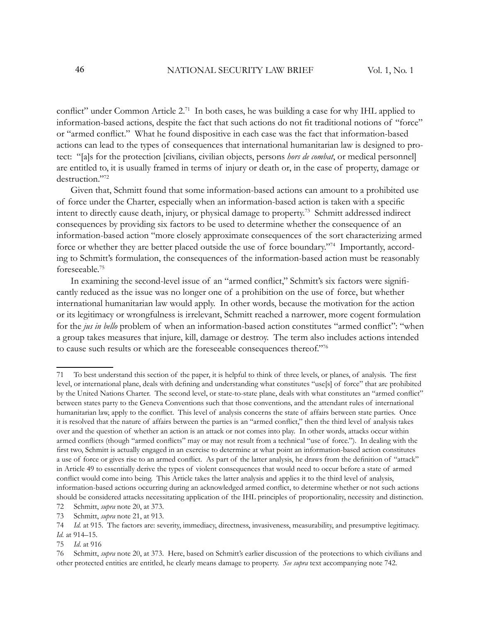conflict" under Common Article 2.<sup>71</sup> In both cases, he was building a case for why IHL applied to information-based actions, despite the fact that such actions do not fit traditional notions of "force" or "armed conflict." What he found dispositive in each case was the fact that information-based actions can lead to the types of consequences that international humanitarian law is designed to protect: "[a]s for the protection [civilians, civilian objects, persons *hors de combat*, or medical personnel] are entitled to, it is usually framed in terms of injury or death or, in the case of property, damage or destruction."<sup>72</sup>

Given that, Schmitt found that some information-based actions can amount to a prohibited use of force under the Charter, especially when an information-based action is taken with a specific intent to directly cause death, injury, or physical damage to property.<sup>73</sup> Schmitt addressed indirect consequences by providing six factors to be used to determine whether the consequence of an information-based action "more closely approximate consequences of the sort characterizing armed force or whether they are better placed outside the use of force boundary."74 Importantly, according to Schmitt's formulation, the consequences of the information-based action must be reasonably foreseeable.<sup>75</sup>

In examining the second-level issue of an "armed conflict," Schmitt's six factors were significantly reduced as the issue was no longer one of a prohibition on the use of force, but whether international humanitarian law would apply. In other words, because the motivation for the action or its legitimacy or wrongfulness is irrelevant, Schmitt reached a narrower, more cogent formulation for the *jus in bello* problem of when an information-based action constitutes "armed conflict": "when a group takes measures that injure, kill, damage or destroy. The term also includes actions intended to cause such results or which are the foreseeable consequences thereof."76

<sup>71</sup> To best understand this section of the paper, it is helpful to think of three levels, or planes, of analysis. The first level, or international plane, deals with defining and understanding what constitutes "use[s] of force" that are prohibited by the United Nations Charter. The second level, or state-to-state plane, deals with what constitutes an "armed conflict" between states party to the Geneva Conventions such that those conventions, and the attendant rules of international humanitarian law, apply to the conflict. This level of analysis concerns the state of affairs between state parties. Once it is resolved that the nature of affairs between the parties is an "armed conflict," then the third level of analysis takes over and the question of whether an action is an attack or not comes into play. In other words, attacks occur within armed conflicts (though "armed conflicts" may or may not result from a technical "use of force."). In dealing with the first two, Schmitt is actually engaged in an exercise to determine at what point an information-based action constitutes a use of force or gives rise to an armed conflict. As part of the latter analysis, he draws from the definition of "attack" in Article 49 to essentially derive the types of violent consequences that would need to occur before a state of armed conflict would come into being. This Article takes the latter analysis and applies it to the third level of analysis, information-based actions occurring during an acknowledged armed conflict, to determine whether or not such actions should be considered attacks necessitating application of the IHL principles of proportionality, necessity and distinction.

<sup>72</sup> Schmitt, *supra* note 20, at 373.

<sup>73</sup> Schmitt, *supra* note 21, at 913.

<sup>74</sup> *Id.* at 915. The factors are: severity, immediacy, directness, invasiveness, measurability, and presumptive legitimacy. *Id.* at 914–15.

<sup>75</sup> *Id*. at 916

<sup>76</sup> Schmitt, *supra* note 20, at 373. Here, based on Schmitt's earlier discussion of the protections to which civilians and other protected entities are entitled, he clearly means damage to property. *See supra* text accompanying note 742.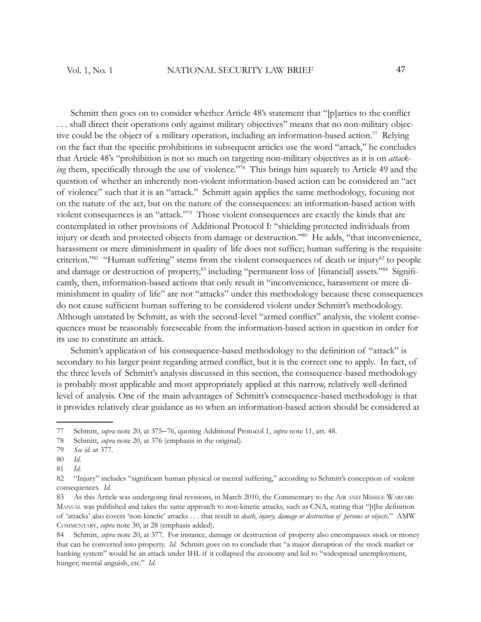Schmitt then goes on to consider whether Article 48's statement that "[p]arties to the conflict . . . shall direct their operations only against military objectives" means that no non-military objective could be the object of a military operation, including an information-based action.<sup>77</sup> Relying on the fact that the specific prohibitions in subsequent articles use the word "attack," he concludes that Article 48's "prohibition is not so much on targeting non-military objectives as it is on *attacking* them, specifically through the use of violence."<sup>78</sup> This brings him squarely to Article 49 and the question of whether an inherently non-violent information-based action can be considered an "act of violence" such that it is an "attack." Schmitt again applies the same methodology, focusing not on the nature of the act, but on the nature of the consequences: an information-based action with violent consequences is an "attack."<sup>79</sup> Those violent consequences are exactly the kinds that are contemplated in other provisions of Additional Protocol I: "shielding protected individuals from injury or death and protected objects from damage or destruction."<sup>80</sup> He adds, "that inconvenience, harassment or mere diminishment in quality of life does not suffice; human suffering is the requisite criterion."<sup>81</sup> "Human suffering" stems from the violent consequences of death or injury<sup>82</sup> to people and damage or destruction of property,<sup>83</sup> including "permanent loss of [financial] assets."<sup>84</sup> Significantly, then, information-based actions that only result in "inconvenience, harassment or mere diminishment in quality of life" are not "attacks" under this methodology because these consequences do not cause sufficient human suffering to be considered violent under Schmitt's methodology. Although unstated by Schmitt, as with the second-level "armed conflict" analysis, the violent consequences must be reasonably foreseeable from the information-based action in question in order for its use to constitute an attack.

Schmitt's application of his consequence-based methodology to the definition of "attack" is secondary to his larger point regarding armed conflict, but it is the correct one to apply. In fact, of the three levels of Schmitt's analysis discussed in this section, the consequence-based methodology is probably most applicable and most appropriately applied at this narrow, relatively well-defined level of analysis. One of the main advantages of Schmitt's consequence-based methodology is that it provides relatively clear guidance as to when an information-based action should be considered at

<sup>77</sup> Schmitt, *supra* note 20, at 375–76, quoting Additional Protocol 1, *supra* note 11, art. 48.

<sup>78</sup> Schmitt*, supra* note 20, at 376 (emphasis in the original).

<sup>79</sup> *See id.* at 377.

<sup>80</sup> *Id.*

<sup>81</sup> *Id.*

<sup>82 &</sup>quot;Injury" includes "significant human physical or mental suffering," according to Schmitt's conception of violent consequences. *Id.*

<sup>83</sup> As this Article was undergoing final revisions, in March 2010, the Commentary to the AIR AND MISSILE WARFARE MANUAL was published and takes the same approach to non-kinetic attacks, such as CNA, stating that "[t]he definition of 'attacks' also covers 'non-kinetic' attacks . . . that result in *death, injury, damage or destruction of persons or objects*." AMW COMMENTARY, *supra* note 30, at 28 (emphasis added).

<sup>84</sup> Schmitt, *supra* note 20, at 377. For instance, damage or destruction of property also encompasses stock or money that can be converted into property. *Id*. Schmitt goes on to conclude that "a major disruption of the stock market or banking system" would be an attack under IHL if it collapsed the economy and led to "widespread unemployment, hunger, mental anguish, etc." *Id*.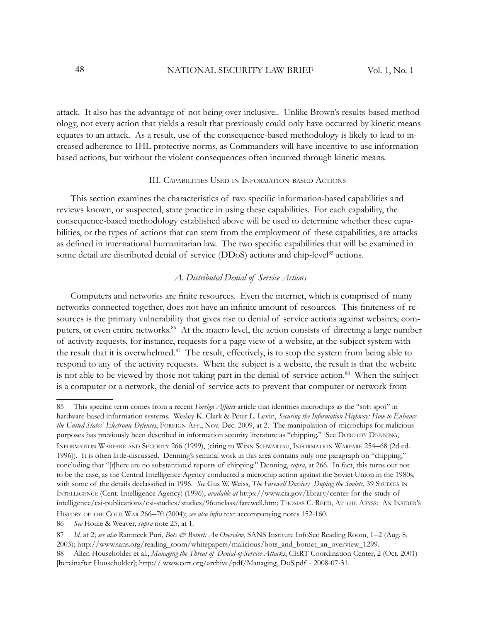attack. It also has the advantage of not being over-inclusive.. Unlike Brown's results-based methodology, not every action that yields a result that previously could only have occurred by kinetic means equates to an attack. As a result, use of the consequence-based methodology is likely to lead to increased adherence to IHL protective norms, as Commanders will have incentive to use informationbased actions, but without the violent consequences often incurred through kinetic means.

#### III. CAPABILITIES USED IN INFORMATION-BASED ACTIONS

This section examines the characteristics of two specific information-based capabilities and reviews known, or suspected, state practice in using these capabilities. For each capability, the consequence-based methodology established above will be used to determine whether these capabilities, or the types of actions that can stem from the employment of these capabilities, are attacks as defined in international humanitarian law. The two specific capabilities that will be examined in some detail are distributed denial of service (DDoS) actions and chip-level<sup>85</sup> actions.

#### *A. Distributed Denial of Service Actions*

Computers and networks are finite resources. Even the internet, which is comprised of many networks connected together, does not have an infinite amount of resources. This finiteness of resources is the primary vulnerability that gives rise to denial of service actions against websites, computers, or even entire networks.<sup>86</sup> At the macro level, the action consists of directing a large number of activity requests, for instance, requests for a page view of a website, at the subject system with the result that it is overwhelmed.<sup>87</sup> The result, effectively, is to stop the system from being able to respond to any of the activity requests. When the subject is a website, the result is that the website is not able to be viewed by those not taking part in the denial of service action.<sup>88</sup> When the subject is a computer or a network, the denial of service acts to prevent that computer or network from

HISTORY OF THE COLD WAR 266–70 (2004); *see also infra* text accompanying notes 152-160.

<sup>85</sup> This specific term comes from a recent *Foreign Affairs* article that identifies microchips as the "soft spot" in hardware-based information systems. Wesley K. Clark & Peter L. Levin, *Securing the Information Highway: How to Enhance the United States' Electronic Defenses*, FOREIGN AFF., Nov.-Dec. 2009, at 2. The manipulation of microchips for malicious purposes has previously been described in information security literature as "chipping." See DOROTHY DENNING,

INFORMATION WARFARE AND SECURITY 266 (1999), (citing to WINN SCHWARTAU, INFORMATION WARFARE 254–68 (2d ed. 1996)). It is often little-discussed. Denning's seminal work in this area contains only one paragraph on "chipping," concluding that "[t]here are no substantiated reports of chipping." Denning, *supra*, at 266. In fact, this turns out not to be the case, as the Central Intelligence Agency conducted a microchip action against the Soviet Union in the 1980s, with some of the details declassified in 1996. *See* Gus W. Weiss, *The Farewell Dossier: Duping the Soviets*, 39 STUDIES IN INTELLIGENCE (Cent. Intelligence Agency) (1996), *available at* https://www.cia.gov/library/center-for-the-study-ofintelligence/csi-publications/csi-studies/studies/96unclass/farewell.htm; THOMAS C. REED, A<sup>T</sup> THE ABYSS: AN INSIDER'<sup>S</sup>

<sup>86</sup> *See* Houle & Weaver, *supra* note 25, at 1.

<sup>87</sup> *Id.* at 2; see also Ramneek Puri, *Bots & Botnet: An Overview*, SANS Institute InfoSec Reading Room, 1–2 (Aug. 8, 2003); http://www.sans.org/reading\_room/whitepapers/malicious/bots\_and\_botnet\_an\_overview\_1299.

<sup>88</sup> Allen Householder et al., *Managing the Threat of Denial-of-Service Attacks*, CERT Coordination Center, 2 (Oct. 2001) [hereinafter Householder]; http:// www.cert.org/archive/pdf/Managing\_DoS.pdf - 2008-07-31.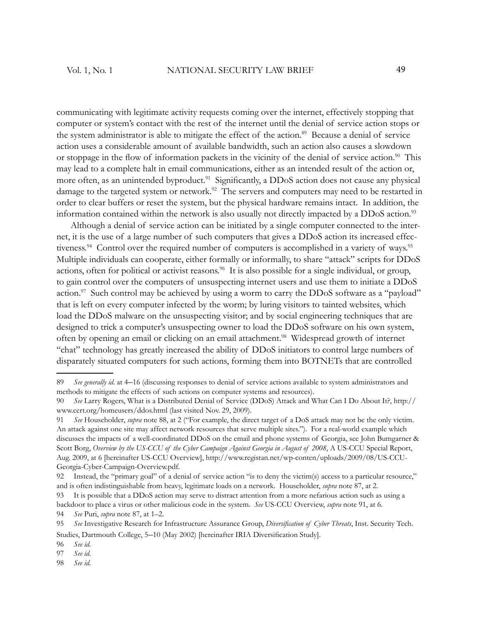communicating with legitimate activity requests coming over the internet, effectively stopping that computer or system's contact with the rest of the internet until the denial of service action stops or the system administrator is able to mitigate the effect of the action.<sup>89</sup> Because a denial of service action uses a considerable amount of available bandwidth, such an action also causes a slowdown or stoppage in the flow of information packets in the vicinity of the denial of service action.<sup>90</sup> This may lead to a complete halt in email communications, either as an intended result of the action or, more often, as an unintended byproduct.<sup>91</sup> Significantly, a DDoS action does not cause any physical damage to the targeted system or network.<sup>92</sup> The servers and computers may need to be restarted in order to clear buffers or reset the system, but the physical hardware remains intact. In addition, the information contained within the network is also usually not directly impacted by a DDoS action.<sup>93</sup>

Although a denial of service action can be initiated by a single computer connected to the internet, it is the use of a large number of such computers that gives a DDoS action its increased effectiveness.<sup>94</sup> Control over the required number of computers is accomplished in a variety of ways.<sup>95</sup> Multiple individuals can cooperate, either formally or informally, to share "attack" scripts for DDoS actions, often for political or activist reasons.<sup>96</sup> It is also possible for a single individual, or group, to gain control over the computers of unsuspecting internet users and use them to initiate a DDoS action.<sup>97</sup> Such control may be achieved by using a worm to carry the DDoS software as a "payload" that is left on every computer infected by the worm; by luring visitors to tainted websites, which load the DDoS malware on the unsuspecting visitor; and by social engineering techniques that are designed to trick a computer's unsuspecting owner to load the DDoS software on his own system, often by opening an email or clicking on an email attachment.<sup>98</sup> Widespread growth of internet "chat" technology has greatly increased the ability of DDoS initiators to control large numbers of disparately situated computers for such actions, forming them into BOTNETs that are controlled

<sup>89</sup> *See generally id*. at 4–16 (discussing responses to denial of service actions available to system administrators and methods to mitigate the effects of such actions on computer systems and resources).

<sup>90</sup> *See* Larry Rogers, What is a Distributed Denial of Service (DDoS) Attack and What Can I Do About It?, http:// www.cert.org/homeusers/ddos.html (last visited Nov. 29, 2009).

<sup>91</sup> *See* Householder, *supra* note 88, at 2 ("For example, the direct target of a DoS attack may not be the only victim. An attack against one site may affect network resources that serve multiple sites."). For a real-world example which discusses the impacts of a well-coordinated DDoS on the email and phone systems of Georgia, see John Bumgarner & Scott Borg, *Overview by the US-CCU of the Cyber Campaign Against Georgia in August of 2008*, A US-CCU Special Report, Aug. 2009, at 6 [hereinafter US-CCU Overview], http://www.registan.net/wp-conten/uploads/2009/08/US-CCU-Georgia-Cyber-Campaign-Overview.pdf.

<sup>92</sup> Instead, the "primary goal" of a denial of service action "is to deny the victim(s) access to a particular resource," and is often indistinguishable from heavy, legitimate loads on a network. Householder, *supra* note 87, at 2.

<sup>93</sup> It is possible that a DDoS action may serve to distract attention from a more nefarious action such as using a backdoor to place a virus or other malicious code in the system. *See* US-CCU Overview, *supra* note 91, at 6.

<sup>94</sup> *See* Puri, *supra* note 87, at 1–2.

<sup>95</sup> See Investigative Research for Infrastructure Assurance Group, *Diversification of Cyber Threats*, Inst. Security Tech. Studies, Dartmouth College, 5-10 (May 2002) [hereinafter IRIA Diversification Study].

<sup>96</sup> *See id*.

<sup>97</sup> *See id*.

<sup>98</sup> *See id*.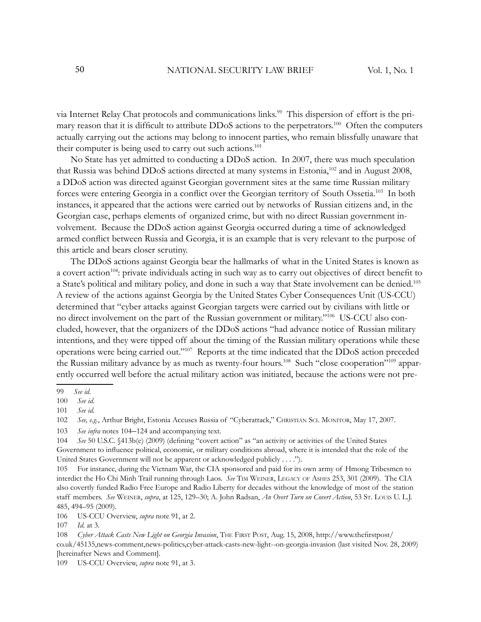via Internet Relay Chat protocols and communications links.99 This dispersion of effort is the primary reason that it is difficult to attribute DDoS actions to the perpetrators.<sup>100</sup> Often the computers actually carrying out the actions may belong to innocent parties, who remain blissfully unaware that their computer is being used to carry out such actions.<sup>101</sup>

No State has yet admitted to conducting a DDoS action. In 2007, there was much speculation that Russia was behind DDoS actions directed at many systems in Estonia,<sup>102</sup> and in August 2008, a DDoS action was directed against Georgian government sites at the same time Russian military forces were entering Georgia in a conflict over the Georgian territory of South Ossetia.<sup>103</sup> In both instances, it appeared that the actions were carried out by networks of Russian citizens and, in the Georgian case, perhaps elements of organized crime, but with no direct Russian government involvement. Because the DDoS action against Georgia occurred during a time of acknowledged armed conflict between Russia and Georgia, it is an example that is very relevant to the purpose of this article and bears closer scrutiny.

The DDoS actions against Georgia bear the hallmarks of what in the United States is known as a covert action<sup>104</sup>: private individuals acting in such way as to carry out objectives of direct benefit to a State's political and military policy, and done in such a way that State involvement can be denied.<sup>105</sup> A review of the actions against Georgia by the United States Cyber Consequences Unit (US-CCU) determined that "cyber attacks against Georgian targets were carried out by civilians with little or no direct involvement on the part of the Russian government or military."106 US-CCU also concluded, however, that the organizers of the DDoS actions "had advance notice of Russian military intentions, and they were tipped off about the timing of the Russian military operations while these operations were being carried out."<sup>107</sup> Reports at the time indicated that the DDoS action preceded the Russian military advance by as much as twenty-four hours.<sup>108</sup> Such "close cooperation"<sup>109</sup> apparently occurred well before the actual military action was initiated, because the actions were not pre-

106 US-CCU Overview, *supra* note 91, at 2.

<sup>99</sup> *See id*.

<sup>100</sup> *See id*.

<sup>101</sup> *See id*.

<sup>102</sup> *See, e.g.*, Arthur Bright, Estonia Accuses Russia of "Cyberattack," CHRISTIAN SCI. MONITOR, May 17, 2007.

<sup>103</sup> *See infra* notes 104–124 and accompanying text.

<sup>104</sup> *See* 50 U.S.C. §413b(e) (2009) (defining "covert action" as "an activity or activities of the United States Government to influence political, economic, or military conditions abroad, where it is intended that the role of the United States Government will not be apparent or acknowledged publicly . . . .").

<sup>105</sup> For instance, during the Vietnam War, the CIA sponsored and paid for its own army of Hmong Tribesmen to interdict the Ho Chi Minh Trail running through Laos. *See* TIM WEINER, LEGACY OF ASHES 253, 301 (2009). The CIA also covertly funded Radio Free Europe and Radio Liberty for decades without the knowledge of most of the station staff members. *See* WEINER, *supra*, at 125, 129–30; A. John Radsan, *An Overt Turn on Covert Action*, 53 ST. LOUIS U. L.J. 485, 494–95 (2009).

<sup>107</sup> *Id*. at 3.

<sup>108</sup> *Cyber Attack Casts New Light on Georgia Invasion*, THE FIRST POST, Aug. 15, 2008, http://www.thefirstpost/ co.uk/45135,news-comment,news-politics,cyber-attack-casts-new-light--on-georgia-invasion (last visited Nov. 28, 2009) [hereinafter News and Comment].

<sup>109</sup> US-CCU Overview, *supra* note 91, at 3.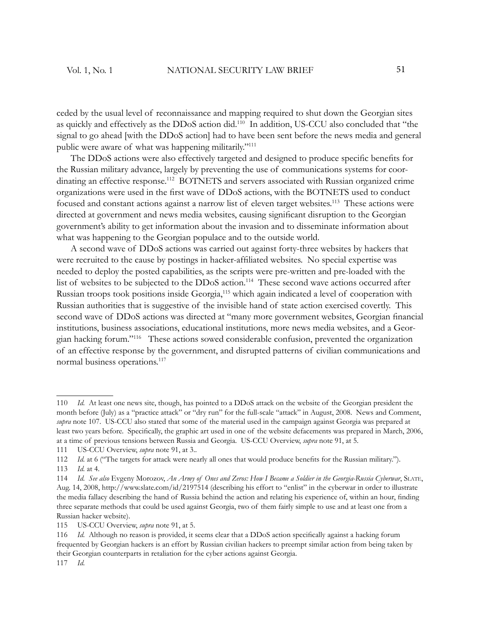ceded by the usual level of reconnaissance and mapping required to shut down the Georgian sites as quickly and effectively as the DDoS action did.<sup>110</sup> In addition, US-CCU also concluded that "the signal to go ahead [with the DDoS action] had to have been sent before the news media and general public were aware of what was happening militarily."<sup>111</sup>

The DDoS actions were also effectively targeted and designed to produce specific benefits for the Russian military advance, largely by preventing the use of communications systems for coordinating an effective response.<sup>112</sup> BOTNETS and servers associated with Russian organized crime organizations were used in the first wave of DDoS actions, with the BOTNETS used to conduct focused and constant actions against a narrow list of eleven target websites.<sup>113</sup> These actions were directed at government and news media websites, causing significant disruption to the Georgian government's ability to get information about the invasion and to disseminate information about what was happening to the Georgian populace and to the outside world.

A second wave of DDoS actions was carried out against forty-three websites by hackers that were recruited to the cause by postings in hacker-affiliated websites. No special expertise was needed to deploy the posted capabilities, as the scripts were pre-written and pre-loaded with the list of websites to be subjected to the DDoS action.<sup>114</sup> These second wave actions occurred after Russian troops took positions inside Georgia,<sup>115</sup> which again indicated a level of cooperation with Russian authorities that is suggestive of the invisible hand of state action exercised covertly. This second wave of DDoS actions was directed at "many more government websites, Georgian financial institutions, business associations, educational institutions, more news media websites, and a Georgian hacking forum."<sup>116</sup> These actions sowed considerable confusion, prevented the organization of an effective response by the government, and disrupted patterns of civilian communications and normal business operations.<sup>117</sup>

<sup>110</sup> *Id*. At least one news site, though, has pointed to a DDoS attack on the website of the Georgian president the month before (July) as a "practice attack" or "dry run" for the full-scale "attack" in August, 2008. News and Comment, *supra* note 107. US-CCU also stated that some of the material used in the campaign against Georgia was prepared at least two years before. Specifically, the graphic art used in one of the website defacements was prepared in March, 2006, at a time of previous tensions between Russia and Georgia. US-CCU Overview, *supra* note 91, at 5.

<sup>111</sup> US-CCU Overview, *supra* note 91, at 3..

<sup>112</sup> *Id.* at 6 ("The targets for attack were nearly all ones that would produce benefits for the Russian military.").

<sup>113</sup> *Id*. at 4.

<sup>114</sup> *Id*. *See also* Evgeny Morozov, *An Army of Ones and Zeros: How I Became a Soldier in the Georgia-Russia Cyberwar*, SLATE, Aug. 14, 2008, http://www.slate.com/id/2197514 (describing his effort to "enlist" in the cyberwar in order to illustrate the media fallacy describing the hand of Russia behind the action and relating his experience of, within an hour, finding three separate methods that could be used against Georgia, two of them fairly simple to use and at least one from a Russian hacker website).

<sup>115</sup> US-CCU Overview, *supra* note 91, at 5.

<sup>116</sup> *Id.* Although no reason is provided, it seems clear that a DDoS action specifically against a hacking forum frequented by Georgian hackers is an effort by Russian civilian hackers to preempt similar action from being taken by their Georgian counterparts in retaliation for the cyber actions against Georgia. 117 *Id*.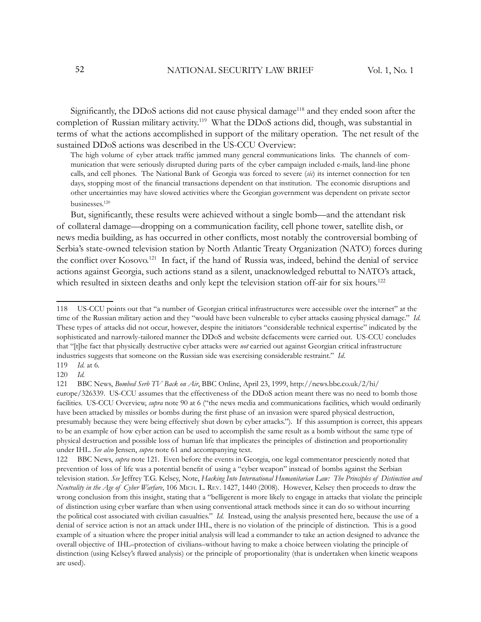Significantly, the DDoS actions did not cause physical damage<sup>118</sup> and they ended soon after the completion of Russian military activity.<sup>119</sup> What the DDoS actions did, though, was substantial in terms of what the actions accomplished in support of the military operation. The net result of the sustained DDoS actions was described in the US-CCU Overview:

The high volume of cyber attack traffic jammed many general communications links. The channels of communication that were seriously disrupted during parts of the cyber campaign included e-mails, land-line phone calls, and cell phones. The National Bank of Georgia was forced to severe (*sic*) its internet connection for ten days, stopping most of the financial transactions dependent on that institution. The economic disruptions and other uncertainties may have slowed activities where the Georgian government was dependent on private sector businesses.<sup>120</sup>

But, significantly, these results were achieved without a single bomb—and the attendant risk of collateral damage—dropping on a communication facility, cell phone tower, satellite dish, or news media building, as has occurred in other conflicts, most notably the controversial bombing of Serbia's state-owned television station by North Atlantic Treaty Organization (NATO) forces during the conflict over Kosovo.<sup>121</sup> In fact, if the hand of Russia was, indeed, behind the denial of service actions against Georgia, such actions stand as a silent, unacknowledged rebuttal to NATO's attack, which resulted in sixteen deaths and only kept the television station off-air for six hours.<sup>122</sup>

<sup>118</sup> US-CCU points out that "a number of Georgian critical infrastructures were accessible over the internet" at the time of the Russian military action and they "would have been vulnerable to cyber attacks causing physical damage." *Id.* These types of attacks did not occur, however, despite the initiators "considerable technical expertise" indicated by the sophisticated and narrowly-tailored manner the DDoS and website defacements were carried out. US-CCU concludes that "[t]he fact that physically destructive cyber attacks were *not* carried out against Georgian critical infrastructure industries suggests that someone on the Russian side was exercising considerable restraint." *Id*.

<sup>119</sup> *Id*. at 6.

<sup>120</sup> *Id*.

<sup>121</sup> BBC News, *Bombed Serb TV Back on Air*, BBC Online, April 23, 1999, http://news.bbc.co.uk/2/hi/ europe/326339. US-CCU assumes that the effectiveness of the DDoS action meant there was no need to bomb those facilities. US-CCU Overview, *supra* note 90 at 6 ("the news media and communications facilities, which would ordinarily have been attacked by missiles or bombs during the first phase of an invasion were spared physical destruction, presumably because they were being effectively shut down by cyber attacks."). If this assumption is correct, this appears to be an example of how cyber action can be used to accomplish the same result as a bomb without the same type of physical destruction and possible loss of human life that implicates the principles of distinction and proportionality under IHL. *See also* Jensen, *supra* note 61 and accompanying text.

<sup>122</sup> BBC News, *supra* note 121. Even before the events in Georgia, one legal commentator presciently noted that prevention of loss of life was a potential benefi t of using a "cyber weapon" instead of bombs against the Serbian television station. *See* Jeffrey T.G. Kelsey, Note, *Hacking Into International Humanitarian Law: The Principles of Distinction and Neutrality in the Age of Cyber Warfare*, 106 MICH. L. REV. 1427, 1440 (2008). However, Kelsey then proceeds to draw the wrong conclusion from this insight, stating that a "belligerent is more likely to engage in attacks that violate the principle of distinction using cyber warfare than when using conventional attack methods since it can do so without incurring the political cost associated with civilian casualties." *Id*. Instead, using the analysis presented here, because the use of a denial of service action is not an attack under IHL, there is no violation of the principle of distinction. This is a good example of a situation where the proper initial analysis will lead a commander to take an action designed to advance the overall objective of IHL–protection of civilians–without having to make a choice between violating the principle of distinction (using Kelsey's flawed analysis) or the principle of proportionality (that is undertaken when kinetic weapons are used).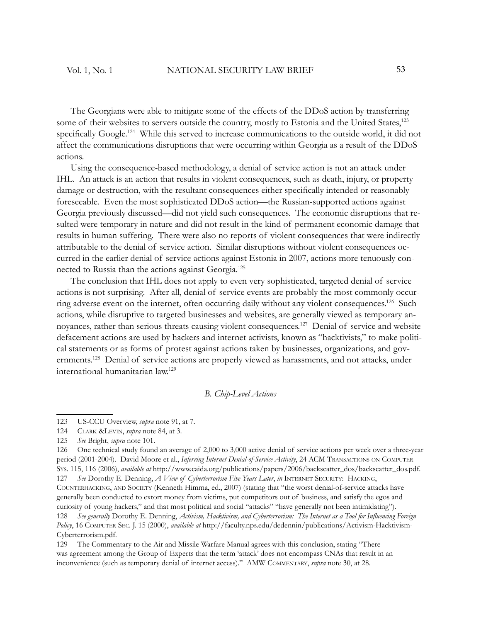The Georgians were able to mitigate some of the effects of the DDoS action by transferring some of their websites to servers outside the country, mostly to Estonia and the United States,<sup>123</sup> specifically Google.<sup>124</sup> While this served to increase communications to the outside world, it did not affect the communications disruptions that were occurring within Georgia as a result of the DDoS actions.

Using the consequence-based methodology, a denial of service action is not an attack under IHL. An attack is an action that results in violent consequences, such as death, injury, or property damage or destruction, with the resultant consequences either specifically intended or reasonably foreseeable. Even the most sophisticated DDoS action—the Russian-supported actions against Georgia previously discussed—did not yield such consequences. The economic disruptions that resulted were temporary in nature and did not result in the kind of permanent economic damage that results in human suffering. There were also no reports of violent consequences that were indirectly attributable to the denial of service action. Similar disruptions without violent consequences occurred in the earlier denial of service actions against Estonia in 2007, actions more tenuously connected to Russia than the actions against Georgia.<sup>125</sup>

The conclusion that IHL does not apply to even very sophisticated, targeted denial of service actions is not surprising. After all, denial of service events are probably the most commonly occurring adverse event on the internet, often occurring daily without any violent consequences.<sup>126</sup> Such actions, while disruptive to targeted businesses and websites, are generally viewed as temporary annoyances, rather than serious threats causing violent consequences.<sup>127</sup> Denial of service and website defacement actions are used by hackers and internet activists, known as "hacktivists," to make political statements or as forms of protest against actions taken by businesses, organizations, and governments.<sup>128</sup> Denial of service actions are properly viewed as harassments, and not attacks, under international humanitarian law.<sup>129</sup>

#### *B. Chip-Level Actions*

127 *See* Dorothy E. Denning, *A View of Cyberterrorism Five Years Later*, *in* INTERNET SECURITY: HACKING, COUNTERHACKING, AND SOCIETY (Kenneth Himma, ed., 2007) (stating that "the worst denial-of-service attacks have generally been conducted to extort money from victims, put competitors out of business, and satisfy the egos and curiosity of young hackers," and that most political and social "attacks" "have generally not been intimidating"). 128 *See generally* Dorothy E. Denning, *Activism, Hacktivism, and Cyberterrorism: The Internet as a Tool for Influencing Foreign Policy*, 16 COMPUTER SEC. J. 15 (2000), *available at* http://faculty.nps.edu/dedennin/publications/Activism-Hacktivism-Cyberterrorism.pdf.

129 The Commentary to the Air and Missile Warfare Manual agrees with this conclusion, stating "There was agreement among the Group of Experts that the term 'attack' does not encompass CNAs that result in an inconvenience (such as temporary denial of internet access)." AMW COMMENTARY, *supra* note 30, at 28.

<sup>123</sup> US-CCU Overview, *supra* note 91, at 7.

<sup>124</sup> CLARK &LEVIN, *supra* note 84, at 3.

<sup>125</sup> *See* Bright, *supra* note 101.

<sup>126</sup> One technical study found an average of 2,000 to 3,000 active denial of service actions per week over a three-year period (2001-2004). David Moore et al., *Inferring Internet Denial-of-Service Activity*, 24 ACM TRANSACTIONS ON COMPUTER SYS. 115, 116 (2006), *available at* http://www.caida.org/publications/papers/2006/backscatter\_dos/backscatter\_dos.pdf.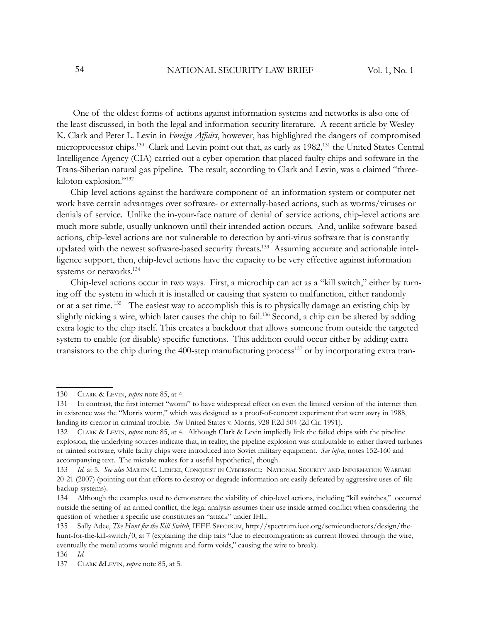One of the oldest forms of actions against information systems and networks is also one of the least discussed, in both the legal and information security literature. A recent article by Wesley K. Clark and Peter L. Levin in *Foreign Affairs*, however, has highlighted the dangers of compromised microprocessor chips.<sup>130</sup> Clark and Levin point out that, as early as 1982,<sup>131</sup> the United States Central Intelligence Agency (CIA) carried out a cyber-operation that placed faulty chips and software in the Trans-Siberian natural gas pipeline. The result, according to Clark and Levin, was a claimed "threekiloton explosion."<sup>132</sup>

Chip-level actions against the hardware component of an information system or computer network have certain advantages over software- or externally-based actions, such as worms/viruses or denials of service. Unlike the in-your-face nature of denial of service actions, chip-level actions are much more subtle, usually unknown until their intended action occurs. And, unlike software-based actions, chip-level actions are not vulnerable to detection by anti-virus software that is constantly updated with the newest software-based security threats.133 Assuming accurate and actionable intelligence support, then, chip-level actions have the capacity to be very effective against information systems or networks.<sup>134</sup>

Chip-level actions occur in two ways. First, a microchip can act as a "kill switch," either by turning off the system in which it is installed or causing that system to malfunction, either randomly or at a set time.<sup>135</sup> The easiest way to accomplish this is to physically damage an existing chip by slightly nicking a wire, which later causes the chip to fail.<sup>136</sup> Second, a chip can be altered by adding extra logic to the chip itself. This creates a backdoor that allows someone from outside the targeted system to enable (or disable) specific functions. This addition could occur either by adding extra transistors to the chip during the 400-step manufacturing process<sup>137</sup> or by incorporating extra tran-

<sup>130</sup> CLARK & LEVIN, *supra* note 85, at 4.

<sup>131</sup> In contrast, the first internet "worm" to have widespread effect on even the limited version of the internet then in existence was the "Morris worm," which was designed as a proof-of-concept experiment that went awry in 1988, landing its creator in criminal trouble. *See* United States v. Morris*,* 928 F.2d 504 (2d Cir. 1991).

<sup>132</sup> CLARK & LEVIN, *supra* note 85, at 4. Although Clark & Levin impliedly link the failed chips with the pipeline explosion, the underlying sources indicate that, in reality, the pipeline explosion was attributable to either flawed turbines or tainted software, while faulty chips were introduced into Soviet military equipment. *See infra*, notes 152-160 and accompanying text. The mistake makes for a useful hypothetical, though.

<sup>133</sup> *Id*. at 5. *See also* MARTIN C. LIBICKI, CONQUEST IN CYBERSPACE: NATIONAL SECURITY AND INFORMATION WARFARE 20-21 (2007) (pointing out that efforts to destroy or degrade information are easily defeated by aggressive uses of file backup systems).

<sup>134</sup> Although the examples used to demonstrate the viability of chip-level actions, including "kill switches," occurred outside the setting of an armed conflict, the legal analysis assumes their use inside armed conflict when considering the question of whether a specific use constitutes an "attack" under IHL.

<sup>135</sup> Sally Adee, *The Hunt for the Kill Switch*, IEEE SPECTRUM, http://spectrum.ieee.org/semiconductors/design/thehunt-for-the-kill-switch/0, at 7 (explaining the chip fails "due to electromigration: as current flowed through the wire, eventually the metal atoms would migrate and form voids," causing the wire to break).

<sup>136</sup> *Id*.

<sup>137</sup> CLARK &LEVIN, *supra* note 85, at 5.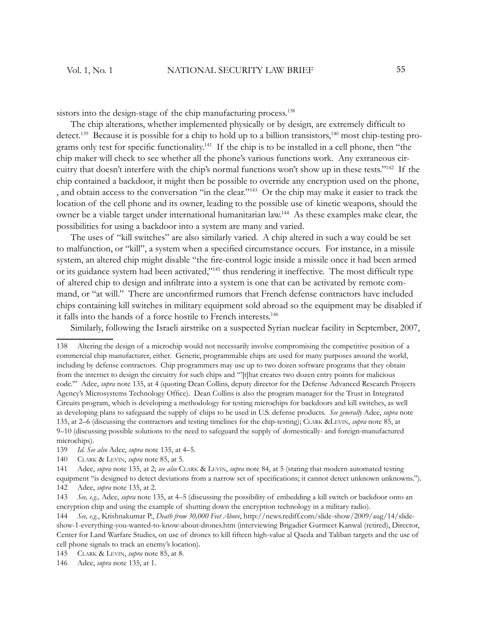sistors into the design-stage of the chip manufacturing process.<sup>138</sup>

The chip alterations, whether implemented physically or by design, are extremely difficult to detect.<sup>139</sup> Because it is possible for a chip to hold up to a billion transistors,<sup>140</sup> most chip-testing programs only test for specific functionality.<sup>141</sup> If the chip is to be installed in a cell phone, then "the chip maker will check to see whether all the phone's various functions work. Any extraneous circuitry that doesn't interfere with the chip's normal functions won't show up in these tests."<sup>142</sup> If the chip contained a backdoor, it might then be possible to override any encryption used on the phone, , and obtain access to the conversation "in the clear."<sup>143</sup> Or the chip may make it easier to track the location of the cell phone and its owner, leading to the possible use of kinetic weapons, should the owner be a viable target under international humanitarian law.<sup>144</sup> As these examples make clear, the possibilities for using a backdoor into a system are many and varied.

The uses of "kill switches" are also similarly varied. A chip altered in such a way could be set to malfunction, or "kill", a system when a specified circumstance occurs. For instance, in a missile system, an altered chip might disable "the fire-control logic inside a missile once it had been armed or its guidance system had been activated,"<sup>145</sup> thus rendering it ineffective. The most difficult type of altered chip to design and infiltrate into a system is one that can be activated by remote command, or "at will." There are unconfirmed rumors that French defense contractors have included chips containing kill switches in military equipment sold abroad so the equipment may be disabled if it falls into the hands of a force hostile to French interests.<sup>146</sup>

Similarly, following the Israeli airstrike on a suspected Syrian nuclear facility in September, 2007,

<sup>138</sup> Altering the design of a microchip would not necessarily involve compromising the competitive position of a commercial chip manufacturer, either. Generic, programmable chips are used for many purposes around the world, including by defense contractors. Chip programmers may use up to two dozen software programs that they obtain from the internet to design the circuitry for such chips and "'[t]hat creates two dozen entry points for malicious code.'" Adee, *supra* note 135, at 4 (quoting Dean Collins, deputy director for the Defense Advanced Research Projects Agency's Microsystems Technology Office). Dean Collins is also the program manager for the Trust in Integrated Circuits program, which is developing a methodology for testing microchips for backdoors and kill switches, as well as developing plans to safeguard the supply of chips to be used in U.S. defense products. *See generally* Adee, *supra* note 135, at 2*–*6 (discussing the contractors and testing timelines for the chip-testing); CLARK &LEVIN, *supra* note 85, at 9*–*10 (discussing possible solutions to the need to safeguard the supply of domestically- and foreign-manufactured microchips).

<sup>139</sup> *Id*. *See also* Adee, *supra* note 135, at 4*–*5.

<sup>140</sup> CLARK & LEVIN, *supra* note 85, at 5.

<sup>141</sup> Adee, *supra* note 135, at 2; *see also* CLARK & LEVIN, *supra* note 84, at 5 (stating that modern automated testing equipment "is designed to detect deviations from a narrow set of specifications; it cannot detect unknown unknowns."). 142 Adee, *supra* note 135, at 2.

<sup>143</sup> *See, e.g.,* Adee, *supra* note 135, at 4*–*5 (discussing the possibility of embedding a kill switch or backdoor onto an encryption chip and using the example of shutting down the encryption technology in a military radio).

<sup>144</sup> *See, e.g.*, Krishnakumar P., *Death from 30,000 Feet Above*, http://news.rediff.com/slide-show/2009/aug/14/slideshow-1-everything-you-wanted-to-know-about-drones.htm (interviewing Brigadier Gurmeet Kanwal (retired), Director, Center for Land Warfare Studies, on use of drones to kill fifteen high-value al Qaeda and Taliban targets and the use of cell phone signals to track an enemy's location).

<sup>145</sup> CLARK & LEVIN, *supra* note 85, at 8.

<sup>146</sup> Adee, *supra* note 135, at 1.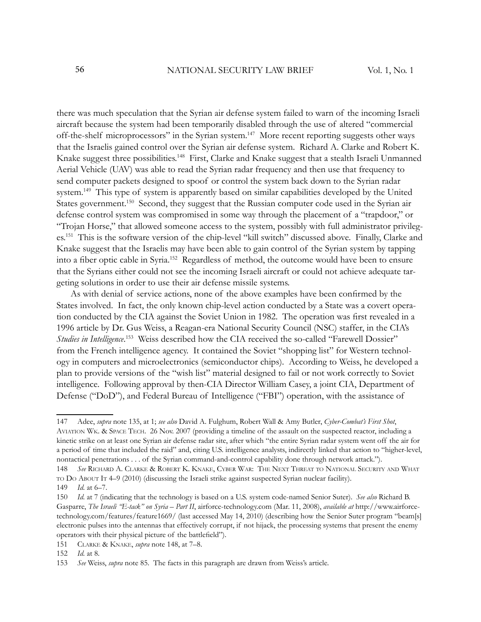there was much speculation that the Syrian air defense system failed to warn of the incoming Israeli aircraft because the system had been temporarily disabled through the use of altered "commercial off-the-shelf microprocessors" in the Syrian system.<sup>147</sup> More recent reporting suggests other ways that the Israelis gained control over the Syrian air defense system. Richard A. Clarke and Robert K. Knake suggest three possibilities.<sup>148</sup> First, Clarke and Knake suggest that a stealth Israeli Unmanned Aerial Vehicle (UAV) was able to read the Syrian radar frequency and then use that frequency to send computer packets designed to spoof or control the system back down to the Syrian radar system.<sup>149</sup> This type of system is apparently based on similar capabilities developed by the United States government.<sup>150</sup> Second, they suggest that the Russian computer code used in the Syrian air defense control system was compromised in some way through the placement of a "trapdoor," or "Trojan Horse," that allowed someone access to the system, possibly with full administrator privileges.<sup>151</sup> This is the software version of the chip-level "kill switch" discussed above. Finally, Clarke and Knake suggest that the Israelis may have been able to gain control of the Syrian system by tapping into a fiber optic cable in Syria.<sup>152</sup> Regardless of method, the outcome would have been to ensure that the Syrians either could not see the incoming Israeli aircraft or could not achieve adequate targeting solutions in order to use their air defense missile systems.

As with denial of service actions, none of the above examples have been confirmed by the States involved. In fact, the only known chip-level action conducted by a State was a covert operation conducted by the CIA against the Soviet Union in 1982. The operation was first revealed in a 1996 article by Dr. Gus Weiss, a Reagan-era National Security Council (NSC) staffer, in the CIA's *Studies in Intelligence*. <sup>153</sup> Weiss described how the CIA received the so-called "Farewell Dossier" from the French intelligence agency. It contained the Soviet "shopping list" for Western technology in computers and microelectronics (semiconductor chips). According to Weiss, he developed a plan to provide versions of the "wish list" material designed to fail or not work correctly to Soviet intelligence. Following approval by then-CIA Director William Casey, a joint CIA, Department of Defense ("DoD"), and Federal Bureau of Intelligence ("FBI") operation, with the assistance of

<sup>147</sup> Adee, *supra* note 135, at 1; *see also* David A. Fulghum, Robert Wall & Amy Butler, *Cyber-Combat's First Shot*, AVIATION WK. & SPACE TECH. 26 Nov. 2007 (providing a timeline of the assault on the suspected reactor, including a kinetic strike on at least one Syrian air defense radar site, after which "the entire Syrian radar system went off the air for a period of time that included the raid" and, citing U.S. intelligence analysts, indirectly linked that action to "higher-level, nontactical penetrations . . . of the Syrian command-and-control capability done through network attack.").

<sup>148</sup> *See* RICHARD A. CLARKE & ROBERT K. KNAKE, CYBER WAR: THE NEXT THREAT TO NATIONAL SECURITY AND WHAT TO DO ABOUT IT 4*–*9 (2010) (discussing the Israeli strike against suspected Syrian nuclear facility).

<sup>149</sup> *Id*. at 6*–*7.

<sup>150</sup> *Id*. at 7 (indicating that the technology is based on a U.S. system code-named Senior Suter). *See also* Richard B. Gasparre, *The Israeli "E-tack" on Syria – Part II*, airforce-technology.com (Mar. 11, 2008), *available at* http://www.airforcetechnology.com/features/feature1669/ (last accessed May 14, 2010) (describing how the Senior Suter program "beam[s] electronic pulses into the antennas that effectively corrupt, if not hijack, the processing systems that present the enemy operators with their physical picture of the battlefield").

<sup>151</sup> CLARKE & KNAKE, *supra* note 148, at 7*–*8.

<sup>152</sup> *Id*. at 8.

<sup>153</sup> *See* Weiss, *supra* note 85. The facts in this paragraph are drawn from Weiss's article.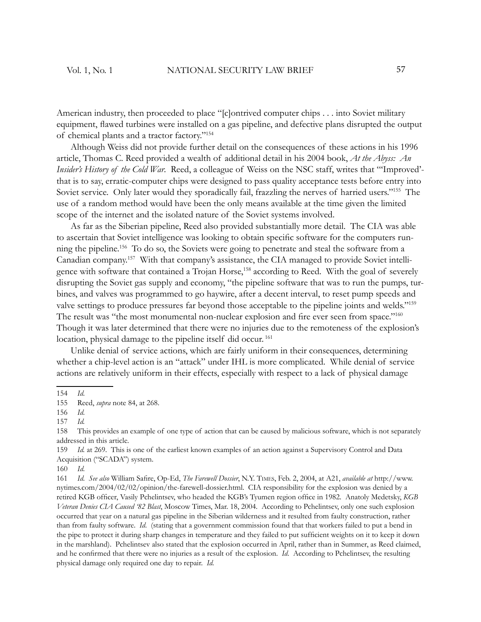American industry, then proceeded to place "[c]ontrived computer chips . . . into Soviet military equipment, flawed turbines were installed on a gas pipeline, and defective plans disrupted the output of chemical plants and a tractor factory."<sup>154</sup>

Although Weiss did not provide further detail on the consequences of these actions in his 1996 article, Thomas C. Reed provided a wealth of additional detail in his 2004 book, *At the Abyss: An Insider's History of the Cold War*. Reed, a colleague of Weiss on the NSC staff, writes that "'Improved' that is to say, erratic-computer chips were designed to pass quality acceptance tests before entry into Soviet service. Only later would they sporadically fail, frazzling the nerves of harried users."<sup>155</sup> The use of a random method would have been the only means available at the time given the limited scope of the internet and the isolated nature of the Soviet systems involved.

As far as the Siberian pipeline, Reed also provided substantially more detail. The CIA was able to ascertain that Soviet intelligence was looking to obtain specific software for the computers running the pipeline.<sup>156</sup> To do so, the Soviets were going to penetrate and steal the software from a Canadian company.157 With that company's assistance, the CIA managed to provide Soviet intelligence with software that contained a Trojan Horse,<sup>158</sup> according to Reed. With the goal of severely disrupting the Soviet gas supply and economy, "the pipeline software that was to run the pumps, turbines, and valves was programmed to go haywire, after a decent interval, to reset pump speeds and valve settings to produce pressures far beyond those acceptable to the pipeline joints and welds."<sup>159</sup> The result was "the most monumental non-nuclear explosion and fire ever seen from space."<sup>160</sup> Though it was later determined that there were no injuries due to the remoteness of the explosion's location, physical damage to the pipeline itself did occur.<sup>161</sup>

Unlike denial of service actions, which are fairly uniform in their consequences, determining whether a chip-level action is an "attack" under IHL is more complicated. While denial of service actions are relatively uniform in their effects, especially with respect to a lack of physical damage

160 *Id*.

161 *Id. See also* William Safire, Op-Ed, The Farewell Dossier, N.Y. TIMES, Feb. 2, 2004, at A21, *available at* http://www. nytimes.com/2004/02/02/opinion/the-farewell-dossier.html. CIA responsibility for the explosion was denied by a retired KGB officer, Vasily Pchelintsev, who headed the KGB's Tyumen region office in 1982. Anatoly Medetsky, *KGB Veteran Denies CIA Caused '82 Blast*, Moscow Times, Mar. 18, 2004. According to Pchelintsev, only one such explosion occurred that year on a natural gas pipeline in the Siberian wilderness and it resulted from faulty construction, rather than from faulty software. *Id*. (stating that a government commission found that that workers failed to put a bend in the pipe to protect it during sharp changes in temperature and they failed to put sufficient weights on it to keep it down in the marshland). Pchelintsev also stated that the explosion occurred in April, rather than in Summer, as Reed claimed, and he confirmed that there were no injuries as a result of the explosion. *Id.* According to Pchelintsev, the resulting physical damage only required one day to repair. *Id.*

<sup>154</sup> *Id*.

<sup>155</sup> Reed, *supra* note 84, at 268.

<sup>156</sup> *Id*.

<sup>157</sup> *Id.*

<sup>158</sup> This provides an example of one type of action that can be caused by malicious software, which is not separately addressed in this article.

<sup>159</sup> *Id.* at 269. This is one of the earliest known examples of an action against a Supervisory Control and Data Acquisition ("SCADA") system.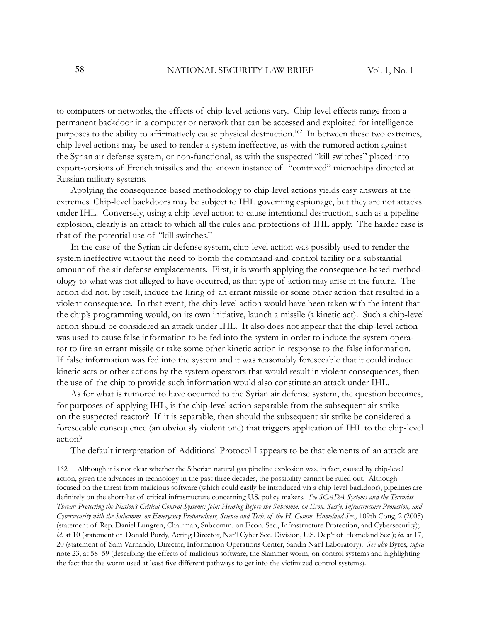to computers or networks, the effects of chip-level actions vary. Chip-level effects range from a permanent backdoor in a computer or network that can be accessed and exploited for intelligence purposes to the ability to affirmatively cause physical destruction.<sup>162</sup> In between these two extremes, chip-level actions may be used to render a system ineffective, as with the rumored action against the Syrian air defense system, or non-functional, as with the suspected "kill switches" placed into export-versions of French missiles and the known instance of "contrived" microchips directed at Russian military systems.

Applying the consequence-based methodology to chip-level actions yields easy answers at the extremes. Chip-level backdoors may be subject to IHL governing espionage, but they are not attacks under IHL. Conversely, using a chip-level action to cause intentional destruction, such as a pipeline explosion, clearly is an attack to which all the rules and protections of IHL apply. The harder case is that of the potential use of "kill switches."

In the case of the Syrian air defense system, chip-level action was possibly used to render the system ineffective without the need to bomb the command-and-control facility or a substantial amount of the air defense emplacements. First, it is worth applying the consequence-based methodology to what was not alleged to have occurred, as that type of action may arise in the future. The action did not, by itself, induce the firing of an errant missile or some other action that resulted in a violent consequence. In that event, the chip-level action would have been taken with the intent that the chip's programming would, on its own initiative, launch a missile (a kinetic act). Such a chip-level action should be considered an attack under IHL. It also does not appear that the chip-level action was used to cause false information to be fed into the system in order to induce the system operator to fire an errant missile or take some other kinetic action in response to the false information. If false information was fed into the system and it was reasonably foreseeable that it could induce kinetic acts or other actions by the system operators that would result in violent consequences, then the use of the chip to provide such information would also constitute an attack under IHL.

As for what is rumored to have occurred to the Syrian air defense system, the question becomes, for purposes of applying IHL, is the chip-level action separable from the subsequent air strike on the suspected reactor? If it is separable, then should the subsequent air strike be considered a foreseeable consequence (an obviously violent one) that triggers application of IHL to the chip-level action?

The default interpretation of Additional Protocol I appears to be that elements of an attack are

<sup>162</sup> Although it is not clear whether the Siberian natural gas pipeline explosion was, in fact, caused by chip-level action, given the advances in technology in the past three decades, the possibility cannot be ruled out. Although focused on the threat from malicious software (which could easily be introduced via a chip-level backdoor), pipelines are definitely on the short-list of critical infrastructure concerning U.S. policy makers. *See SCADA Systems and the Terrorist Threat: Protecting the Nation's Critical Control Systems: Joint Hearing Before the Subcomm. on Econ. Sect'y, Infrastructure Protection, and Cybersecurity with the Subcomm. on Emergency Preparedness, Science and Tech. of the H. Comm. Homeland Sec.,* 109th Cong. 2 (2005) (statement of Rep. Daniel Lungren, Chairman, Subcomm. on Econ. Sec., Infrastructure Protection, and Cybersecurity); *id.* at 10 (statement of Donald Purdy, Acting Director, Nat'l Cyber Sec. Division, U.S. Dep't of Homeland Sec.); *id*. at 17, 20 (statement of Sam Varnando, Director, Information Operations Center, Sandia Nat'l Laboratory). *See also* Byres, *supra* note 23, at 58*–*59 (describing the effects of malicious software, the Slammer worm, on control systems and highlighting the fact that the worm used at least five different pathways to get into the victimized control systems).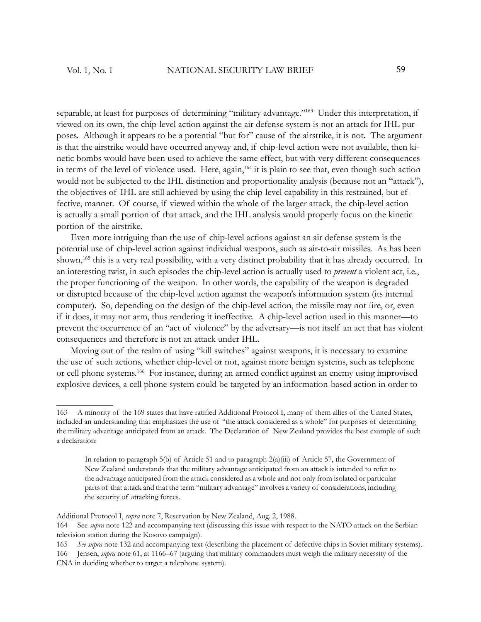separable, at least for purposes of determining "military advantage."<sup>163</sup> Under this interpretation, if viewed on its own, the chip-level action against the air defense system is not an attack for IHL purposes. Although it appears to be a potential "but for" cause of the airstrike, it is not. The argument is that the airstrike would have occurred anyway and, if chip-level action were not available, then kinetic bombs would have been used to achieve the same effect, but with very different consequences in terms of the level of violence used. Here, again,<sup>164</sup> it is plain to see that, even though such action would not be subjected to the IHL distinction and proportionality analysis (because not an "attack"), the objectives of IHL are still achieved by using the chip-level capability in this restrained, but effective, manner. Of course, if viewed within the whole of the larger attack, the chip-level action is actually a small portion of that attack, and the IHL analysis would properly focus on the kinetic portion of the airstrike.

Even more intriguing than the use of chip-level actions against an air defense system is the potential use of chip-level action against individual weapons, such as air-to-air missiles. As has been shown,<sup>165</sup> this is a very real possibility, with a very distinct probability that it has already occurred. In an interesting twist, in such episodes the chip-level action is actually used to *prevent* a violent act, i.e., the proper functioning of the weapon. In other words, the capability of the weapon is degraded or disrupted because of the chip-level action against the weapon's information system (its internal computer). So, depending on the design of the chip-level action, the missile may not fire, or, even if it does, it may not arm, thus rendering it ineffective. A chip-level action used in this manner—to prevent the occurrence of an "act of violence" by the adversary—is not itself an act that has violent consequences and therefore is not an attack under IHL.

Moving out of the realm of using "kill switches" against weapons, it is necessary to examine the use of such actions, whether chip-level or not, against more benign systems, such as telephone or cell phone systems.<sup>166</sup> For instance, during an armed conflict against an enemy using improvised explosive devices, a cell phone system could be targeted by an information-based action in order to

<sup>163</sup> A minority of the 169 states that have ratified Additional Protocol I, many of them allies of the United States, included an understanding that emphasizes the use of "the attack considered as a whole" for purposes of determining the military advantage anticipated from an attack. The Declaration of New Zealand provides the best example of such a declaration:

In relation to paragraph 5(b) of Article 51 and to paragraph 2(a)(iii) of Article 57, the Government of New Zealand understands that the military advantage anticipated from an attack is intended to refer to the advantage anticipated from the attack considered as a whole and not only from isolated or particular parts of that attack and that the term "military advantage" involves a variety of considerations, including the security of attacking forces.

Additional Protocol I, *supra* note 7, Reservation by New Zealand, Aug. 2, 1988.

<sup>164</sup> See *supra* note 122 and accompanying text (discussing this issue with respect to the NATO attack on the Serbian television station during the Kosovo campaign).

<sup>165</sup> *See supra* note 132 and accompanying text (describing the placement of defective chips in Soviet military systems).

<sup>166</sup> Jensen, *supra* note 61, at 1166*–*67 (arguing that military commanders must weigh the military necessity of the CNA in deciding whether to target a telephone system).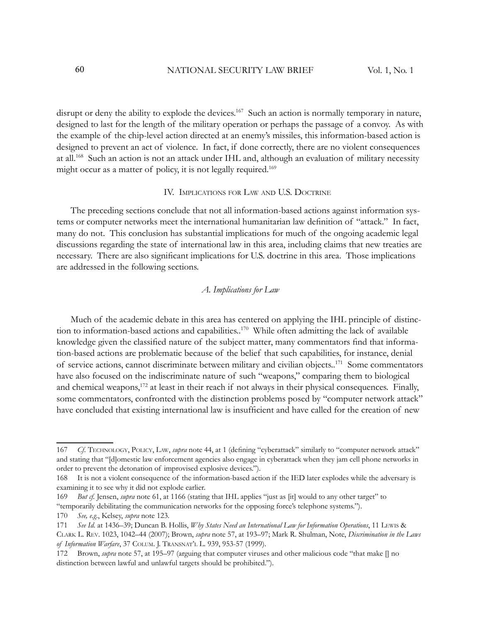disrupt or deny the ability to explode the devices.<sup>167</sup> Such an action is normally temporary in nature, designed to last for the length of the military operation or perhaps the passage of a convoy. As with the example of the chip-level action directed at an enemy's missiles, this information-based action is designed to prevent an act of violence. In fact, if done correctly, there are no violent consequences at all.<sup>168</sup> Such an action is not an attack under IHL and, although an evaluation of military necessity might occur as a matter of policy, it is not legally required.<sup>169</sup>

#### IV. IMPLICATIONS FOR LAW AND U.S. DOCTRINE

The preceding sections conclude that not all information-based actions against information systems or computer networks meet the international humanitarian law definition of "attack." In fact, many do not. This conclusion has substantial implications for much of the ongoing academic legal discussions regarding the state of international law in this area, including claims that new treaties are necessary. There are also significant implications for U.S. doctrine in this area. Those implications are addressed in the following sections.

## *A. Implications for Law*

Much of the academic debate in this area has centered on applying the IHL principle of distinction to information-based actions and capabilities..<sup>170</sup> While often admitting the lack of available knowledge given the classified nature of the subject matter, many commentators find that information-based actions are problematic because of the belief that such capabilities, for instance, denial of service actions, cannot discriminate between military and civilian objects..<sup>171</sup> Some commentators have also focused on the indiscriminate nature of such "weapons," comparing them to biological and chemical weapons,<sup>172</sup> at least in their reach if not always in their physical consequences. Finally, some commentators, confronted with the distinction problems posed by "computer network attack" have concluded that existing international law is insufficient and have called for the creation of new

<sup>167</sup> *Cf.* TECHNOLOGY, POLICY, LAW, *supra* note 44, at 1 (defining "cyberattack" similarly to "computer network attack" and stating that "[d]omestic law enforcement agencies also engage in cyberattack when they jam cell phone networks in order to prevent the detonation of improvised explosive devices.").

<sup>168</sup> It is not a violent consequence of the information-based action if the IED later explodes while the adversary is examining it to see why it did not explode earlier.

<sup>169</sup> *But cf.* Jensen, *supra* note 61, at 1166 (stating that IHL applies "just as [it] would to any other target" to "temporarily debilitating the communication networks for the opposing force's telephone systems.").

<sup>170</sup> *See, e.g.*, Kelsey, *supra* note 123.

<sup>171</sup> *See Id*. at 1436*–*39; Duncan B. Hollis, *Why States Need an International Law for Information Operations*, 11 LEWIS & CLARK L. REV. 1023, 1042*–*44 (2007); Brown, *supra* note 57, at 193*–*97; Mark R. Shulman, Note, *Discrimination in the Laws of Information Warfare*, 37 COLUM. J. TRANSNAT'L L. 939, 953-57 (1999).

<sup>172</sup> Brown, *supra* note 57, at 195*–*97 (arguing that computer viruses and other malicious code "that make [] no distinction between lawful and unlawful targets should be prohibited.").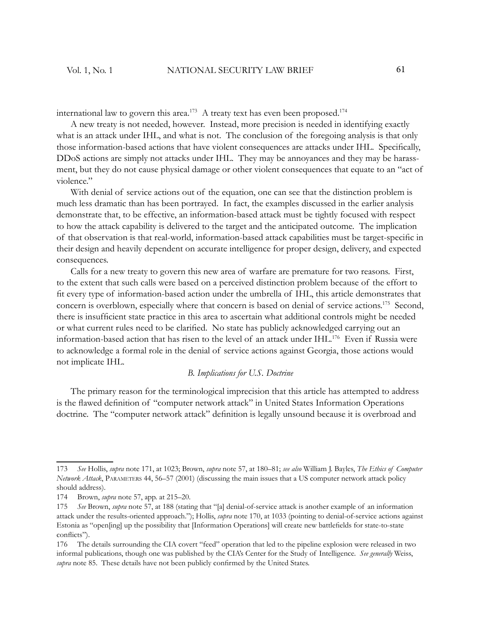international law to govern this area.<sup>173</sup> A treaty text has even been proposed.<sup>174</sup>

A new treaty is not needed, however. Instead, more precision is needed in identifying exactly what is an attack under IHL, and what is not. The conclusion of the foregoing analysis is that only those information-based actions that have violent consequences are attacks under IHL. Specifically, DDoS actions are simply not attacks under IHL. They may be annoyances and they may be harassment, but they do not cause physical damage or other violent consequences that equate to an "act of violence."

With denial of service actions out of the equation, one can see that the distinction problem is much less dramatic than has been portrayed. In fact, the examples discussed in the earlier analysis demonstrate that, to be effective, an information-based attack must be tightly focused with respect to how the attack capability is delivered to the target and the anticipated outcome. The implication of that observation is that real-world, information-based attack capabilities must be target-specifi c in their design and heavily dependent on accurate intelligence for proper design, delivery, and expected consequences.

Calls for a new treaty to govern this new area of warfare are premature for two reasons. First, to the extent that such calls were based on a perceived distinction problem because of the effort to fi t every type of information-based action under the umbrella of IHL, this article demonstrates that concern is overblown, especially where that concern is based on denial of service actions.<sup>175</sup> Second, there is insufficient state practice in this area to ascertain what additional controls might be needed or what current rules need to be clarified. No state has publicly acknowledged carrying out an information-based action that has risen to the level of an attack under IHL.<sup>176</sup> Even if Russia were to acknowledge a formal role in the denial of service actions against Georgia, those actions would not implicate IHL.

#### *B. Implications for U.S. Doctrine*

The primary reason for the terminological imprecision that this article has attempted to address is the flawed definition of "computer network attack" in United States Information Operations doctrine. The "computer network attack" definition is legally unsound because it is overbroad and

<sup>173</sup> *See* Hollis, *supra* note 171, at 1023; Brown, *supra* note 57, at 180*–*81; *see also* William J. Bayles, *The Ethics of Computer Network Attack*, PARAMETERS 44, 56*–*57 (2001) (discussing the main issues that a US computer network attack policy should address).

<sup>174</sup> Brown, *supra* note 57, app. at 215*–*20.

<sup>175</sup> *See* Brown, *supra* note 57, at 188 (stating that "[a] denial-of-service attack is another example of an information attack under the results-oriented approach."); Hollis, *supra* note 170, at 1033 (pointing to denial-of-service actions against Estonia as "open[ing] up the possibility that [Information Operations] will create new battlefields for state-to-state conflicts").

<sup>176</sup> The details surrounding the CIA covert "feed" operation that led to the pipeline explosion were released in two informal publications, though one was published by the CIA's Center for the Study of Intelligence. *See generally* Weiss, supra note 85. These details have not been publicly confirmed by the United States.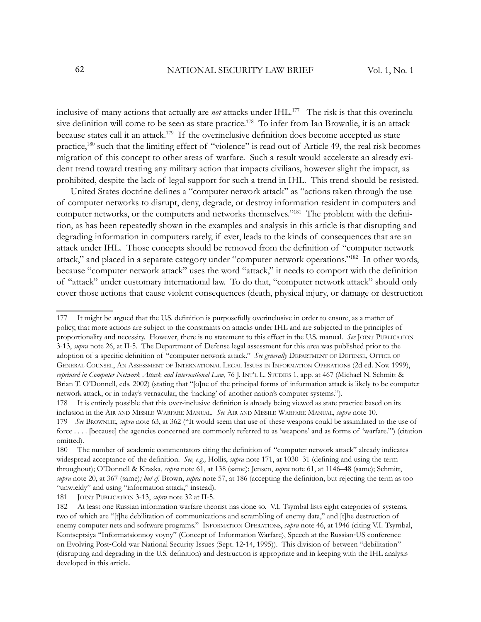inclusive of many actions that actually are *not* attacks under IHL.<sup>177</sup> The risk is that this overinclusive definition will come to be seen as state practice.<sup>178</sup> To infer from Ian Brownlie, it is an attack because states call it an attack.<sup>179</sup> If the overinclusive definition does become accepted as state practice,<sup>180</sup> such that the limiting effect of "violence" is read out of Article 49, the real risk becomes migration of this concept to other areas of warfare. Such a result would accelerate an already evident trend toward treating any military action that impacts civilians, however slight the impact, as prohibited, despite the lack of legal support for such a trend in IHL. This trend should be resisted.

United States doctrine defines a "computer network attack" as "actions taken through the use of computer networks to disrupt, deny, degrade, or destroy information resident in computers and computer networks, or the computers and networks themselves."<sup>181</sup> The problem with the definition, as has been repeatedly shown in the examples and analysis in this article is that disrupting and degrading information in computers rarely, if ever, leads to the kinds of consequences that are an attack under IHL. Those concepts should be removed from the definition of "computer network attack," and placed in a separate category under "computer network operations."<sup>182</sup> In other words, because "computer network attack" uses the word "attack," it needs to comport with the definition of "attack" under customary international law. To do that, "computer network attack" should only cover those actions that cause violent consequences (death, physical injury, or damage or destruction

<sup>177</sup> It might be argued that the U.S. definition is purposefully overinclusive in order to ensure, as a matter of policy, that more actions are subject to the constraints on attacks under IHL and are subjected to the principles of proportionality and necessity. However, there is no statement to this effect in the U.S. manual. *See* JOINT PUBLICATION 3-13, *supra* note 26, at II-5. The Department of Defense legal assessment for this area was published prior to the adoption of a specific definition of "computer network attack." See generally DEPARTMENT OF DEFENSE, OFFICE OF GENERAL COUNSEL, AN ASSESSMENT OF INTERNATIONAL LEGAL ISSUES IN INFORMATION OPERATIONS (2d ed. Nov. 1999), *reprinted in Computer Network Attack and International Law*, 76 J. INT'L L. STUDIES 1, app. at 467 (Michael N. Schmitt & Brian T. O'Donnell, eds. 2002) (stating that "[o]ne of the principal forms of information attack is likely to be computer network attack, or in today's vernacular, the 'hacking' of another nation's computer systems.").

<sup>178</sup> It is entirely possible that this over-inclusive definition is already being viewed as state practice based on its inclusion in the AIR AND MISSILE WARFARE MANUAL. *See* AIR AND MISSILE WARFARE MANUAL, *supra* note 10. 179 *See* BROWNLIE, *supra* note 63, at 362 ("It would seem that use of these weapons could be assimilated to the use of force . . . . [because] the agencies concerned are commonly referred to as 'weapons' and as forms of 'warfare.'") (citation omitted).

<sup>180</sup> The number of academic commentators citing the definition of "computer network attack" already indicates widespread acceptance of the definition. *See, e.g.,* Hollis, *supra* note 171, at 1030–31 (defining and using the term throughout); O'Donnell & Kraska, *supra* note 61, at 138 (same); Jensen, *supra* note 61, at 1146*–*48 (same); Schmitt, *supra* note 20, at 367 (same); but cf. Brown, *supra* note 57, at 186 (accepting the definition, but rejecting the term as too "unwieldy" and using "information attack," instead).

<sup>181</sup> JOINT PUBLICATION 3-13, *supra* note 32 at II-5.

<sup>182</sup> At least one Russian information warfare theorist has done so. V.I. Tsymbal lists eight categories of systems, two of which are "[t]he debilitation of communications and scrambling of enemy data," and [t]he destruction of enemy computer nets and software programs." INFORMATION OPERATIONS, *supra* note 46, at 1946 (citing V.I. Tsymbal, Kontseptsiya "Informatsionnoy voyny" (Concept of Information Warfare), Speech at the Russian-US conference on Evolving Post-Cold war National Security Issues (Sept. 12-14, 1995)). This division of between "debilitation" (disrupting and degrading in the U.S. definition) and destruction is appropriate and in keeping with the IHL analysis developed in this article.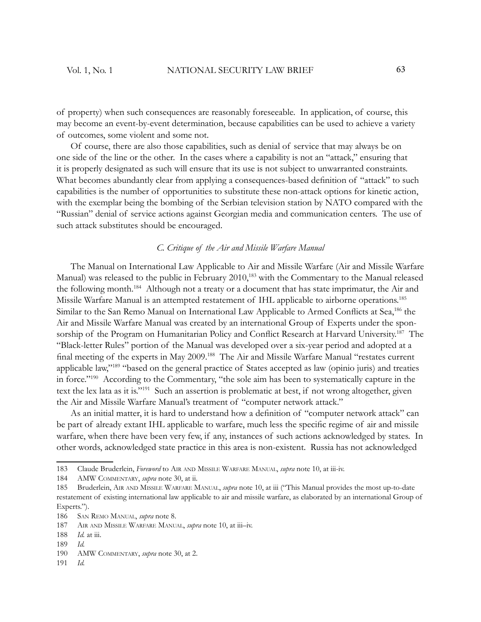of property) when such consequences are reasonably foreseeable. In application, of course, this may become an event-by-event determination, because capabilities can be used to achieve a variety of outcomes, some violent and some not.

Of course, there are also those capabilities, such as denial of service that may always be on one side of the line or the other. In the cases where a capability is not an "attack," ensuring that it is properly designated as such will ensure that its use is not subject to unwarranted constraints. What becomes abundantly clear from applying a consequences-based definition of "attack" to such capabilities is the number of opportunities to substitute these non-attack options for kinetic action, with the exemplar being the bombing of the Serbian television station by NATO compared with the "Russian" denial of service actions against Georgian media and communication centers. The use of such attack substitutes should be encouraged.

## *C. Critique of the Air and Missile Warfare Manual*

The Manual on International Law Applicable to Air and Missile Warfare (Air and Missile Warfare Manual) was released to the public in February 2010,<sup>183</sup> with the Commentary to the Manual released the following month.<sup>184</sup> Although not a treaty or a document that has state imprimatur, the Air and Missile Warfare Manual is an attempted restatement of IHL applicable to airborne operations.<sup>185</sup> Similar to the San Remo Manual on International Law Applicable to Armed Conflicts at Sea,<sup>186</sup> the Air and Missile Warfare Manual was created by an international Group of Experts under the sponsorship of the Program on Humanitarian Policy and Conflict Research at Harvard University.<sup>187</sup> The "Black-letter Rules" portion of the Manual was developed over a six-year period and adopted at a final meeting of the experts in May 2009.<sup>188</sup> The Air and Missile Warfare Manual "restates current applicable law,"<sup>189</sup> "based on the general practice of States accepted as law (opinio juris) and treaties in force."<sup>190</sup> According to the Commentary, "the sole aim has been to systematically capture in the text the lex lata as it is."<sup>191</sup> Such an assertion is problematic at best, if not wrong altogether, given the Air and Missile Warfare Manual's treatment of "computer network attack."

As an initial matter, it is hard to understand how a definition of "computer network attack" can be part of already extant IHL applicable to warfare, much less the specific regime of air and missile warfare, when there have been very few, if any, instances of such actions acknowledged by states. In other words, acknowledged state practice in this area is non-existent. Russia has not acknowledged

191 *Id.*

<sup>183</sup> Claude Bruderlein, *Foreword* to AIR AND MISSILE WARFARE MANUAL, *supra* note 10, at iii-iv.

<sup>184</sup> AMW COMMENTARY, *supra* note 30, at ii.

<sup>185</sup> Bruderlein, AIR AND MISSILE WARFARE MANUAL, *supra* note 10, at iii ("This Manual provides the most up-to-date restatement of existing international law applicable to air and missile warfare, as elaborated by an international Group of Experts.").

<sup>186</sup> SAN REMO MANUAL, *supra* note 8.

<sup>187</sup> AIR AND MISSILE WARFARE MANUAL, *supra* note 10, at iii*–*iv.

<sup>188</sup> *Id.* at iii.

<sup>189</sup> *Id.*

<sup>190</sup> AMW COMMENTARY, *supra* note 30, at 2.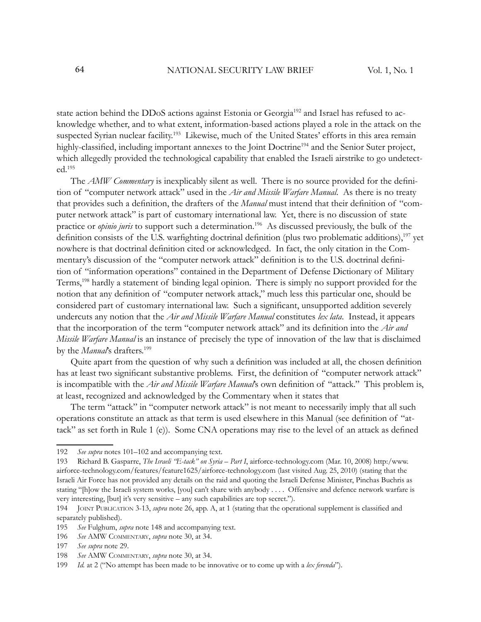state action behind the DDoS actions against Estonia or Georgia<sup>192</sup> and Israel has refused to acknowledge whether, and to what extent, information-based actions played a role in the attack on the suspected Syrian nuclear facility.<sup>193</sup> Likewise, much of the United States' efforts in this area remain highly-classified, including important annexes to the Joint Doctrine<sup>194</sup> and the Senior Suter project, which allegedly provided the technological capability that enabled the Israeli airstrike to go undetected.<sup>195</sup>

The *AMW Commentary* is inexplicably silent as well. There is no source provided for the definition of "computer network attack" used in the *Air and Missile Warfare Manual*. As there is no treaty that provides such a definition, the drafters of the *Manual* must intend that their definition of "computer network attack" is part of customary international law. Yet, there is no discussion of state practice or *opinio juris* to support such a determination.<sup>196</sup> As discussed previously, the bulk of the definition consists of the U.S. warfighting doctrinal definition (plus two problematic additions),<sup>197</sup> yet nowhere is that doctrinal definition cited or acknowledged. In fact, the only citation in the Commentary's discussion of the "computer network attack" definition is to the U.S. doctrinal definition of "information operations" contained in the Department of Defense Dictionary of Military Terms,<sup>198</sup> hardly a statement of binding legal opinion. There is simply no support provided for the notion that any definition of "computer network attack," much less this particular one, should be considered part of customary international law. Such a significant, unsupported addition severely undercuts any notion that the *Air and Missile Warfare Manual* constitutes *lex lata*. Instead, it appears that the incorporation of the term "computer network attack" and its definition into the *Air and Missile Warfare Manual* is an instance of precisely the type of innovation of the law that is disclaimed by the *Manual*'s drafters.<sup>199</sup>

Quite apart from the question of why such a definition was included at all, the chosen definition has at least two significant substantive problems. First, the definition of "computer network attack" is incompatible with the *Air and Missile Warfare Manual*'s own definition of "attack." This problem is, at least, recognized and acknowledged by the Commentary when it states that

The term "attack" in "computer network attack" is not meant to necessarily imply that all such operations constitute an attack as that term is used elsewhere in this Manual (see definition of "attack" as set forth in Rule 1 (e)). Some CNA operations may rise to the level of an attack as defined

<sup>192</sup> *See supra* notes 101*–*102 and accompanying text.

<sup>193</sup> Richard B. Gasparre, *The Israeli "E-tack" on Syria – Part I*, airforce-technology.com (Mar. 10, 2008) http:/www. airforce-technology.com/features/feature1625/airforce-technology.com (last visited Aug. 25, 2010) (stating that the Israeli Air Force has not provided any details on the raid and quoting the Israeli Defense Minister, Pinchas Buchris as stating "[h]ow the Israeli system works, [you] can't share with anybody . . . . Offensive and defence network warfare is very interesting, [but] it's very sensitive – any such capabilities are top secret.").

<sup>194</sup> JOINT PUBLICATION 3-13, *supra* note 26, app. A, at 1 (stating that the operational supplement is classified and separately published).

<sup>195</sup> *See* Fulghum, *supra* note 148 and accompanying text.

<sup>196</sup> *See* AMW COMMENTARY, *supra* note 30, at 34.

<sup>197</sup> *See supra* note 29.

<sup>198</sup> *See* AMW COMMENTARY, *supra* note 30, at 34.

<sup>199</sup> *Id.* at 2 ("No attempt has been made to be innovative or to come up with a *lex ferenda*").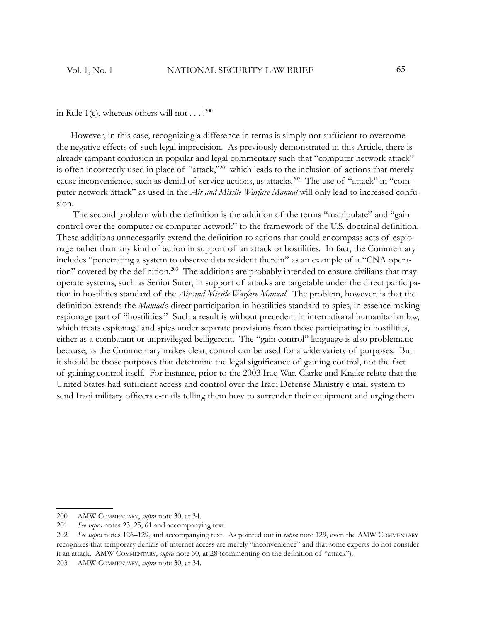in Rule 1(e), whereas others will not  $\dots$ .<sup>200</sup>

However, in this case, recognizing a difference in terms is simply not sufficient to overcome the negative effects of such legal imprecision. As previously demonstrated in this Article, there is already rampant confusion in popular and legal commentary such that "computer network attack" is often incorrectly used in place of "attack,"<sup>201</sup> which leads to the inclusion of actions that merely cause inconvenience, such as denial of service actions, as attacks.<sup>202</sup> The use of "attack" in "computer network attack" as used in the *Air and Missile Warfare Manual* will only lead to increased confusion.

The second problem with the definition is the addition of the terms "manipulate" and "gain control over the computer or computer network" to the framework of the U.S. doctrinal definition. These additions unnecessarily extend the definition to actions that could encompass acts of espionage rather than any kind of action in support of an attack or hostilities. In fact, the Commentary includes "penetrating a system to observe data resident therein" as an example of a "CNA operation" covered by the definition.<sup>203</sup> The additions are probably intended to ensure civilians that may operate systems, such as Senior Suter, in support of attacks are targetable under the direct participation in hostilities standard of the *Air and Missile Warfare Manual*. The problem, however, is that the definition extends the *Manual*'s direct participation in hostilities standard to spies, in essence making espionage part of "hostilities." Such a result is without precedent in international humanitarian law, which treats espionage and spies under separate provisions from those participating in hostilities, either as a combatant or unprivileged belligerent. The "gain control" language is also problematic because, as the Commentary makes clear, control can be used for a wide variety of purposes. But it should be those purposes that determine the legal significance of gaining control, not the fact of gaining control itself. For instance, prior to the 2003 Iraq War, Clarke and Knake relate that the United States had sufficient access and control over the Iraqi Defense Ministry e-mail system to send Iraqi military officers e-mails telling them how to surrender their equipment and urging them

<sup>200</sup> AMW COMMENTARY, *supra* note 30, at 34.

<sup>201</sup> *See supra* notes 23, 25, 61 and accompanying text.

<sup>202</sup> *See supra* notes 126*–*129, and accompanying text. As pointed out in *supra* note 129, even the AMW COMMENTARY recognizes that temporary denials of internet access are merely "inconvenience" and that some experts do not consider it an attack. AMW COMMENTARY, *supra* note 30, at 28 (commenting on the definition of "attack").

<sup>203</sup> AMW COMMENTARY, *supra* note 30, at 34.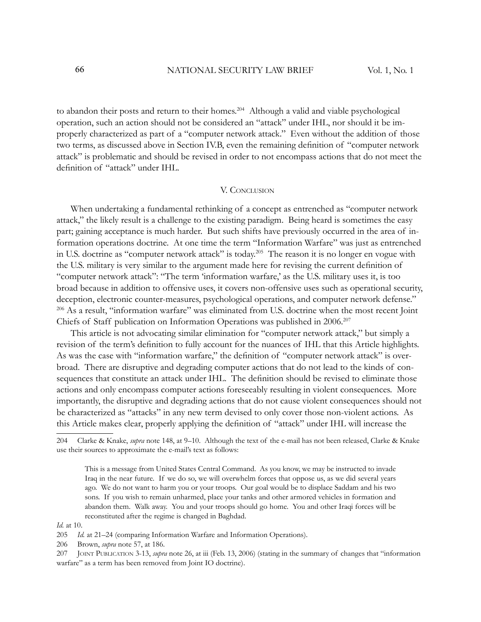to abandon their posts and return to their homes.<sup>204</sup> Although a valid and viable psychological operation, such an action should not be considered an "attack" under IHL, nor should it be improperly characterized as part of a "computer network attack." Even without the addition of those two terms, as discussed above in Section IV.B, even the remaining definition of "computer network" attack" is problematic and should be revised in order to not encompass actions that do not meet the definition of "attack" under IHL.

#### V. CONCLUSION

When undertaking a fundamental rethinking of a concept as entrenched as "computer network attack," the likely result is a challenge to the existing paradigm. Being heard is sometimes the easy part; gaining acceptance is much harder. But such shifts have previously occurred in the area of information operations doctrine. At one time the term "Information Warfare" was just as entrenched in U.S. doctrine as "computer network attack" is today.<sup>205</sup> The reason it is no longer en vogue with the U.S. military is very similar to the argument made here for revising the current definition of "computer network attack": "The term 'information warfare,' as the U.S. military uses it, is too broad because in addition to offensive uses, it covers non-offensive uses such as operational security, deception, electronic counter-measures, psychological operations, and computer network defense." <sup>206</sup> As a result, "information warfare" was eliminated from U.S. doctrine when the most recent Joint Chiefs of Staff publication on Information Operations was published in 2006.<sup>207</sup>

This article is not advocating similar elimination for "computer network attack," but simply a revision of the term's definition to fully account for the nuances of IHL that this Article highlights. As was the case with "information warfare," the definition of "computer network attack" is overbroad. There are disruptive and degrading computer actions that do not lead to the kinds of consequences that constitute an attack under IHL. The definition should be revised to eliminate those actions and only encompass computer actions foreseeably resulting in violent consequences. More importantly, the disruptive and degrading actions that do not cause violent consequences should not be characterized as "attacks" in any new term devised to only cover those non-violent actions. As this Article makes clear, properly applying the definition of "attack" under IHL will increase the

*Id.* at 10.

<sup>204</sup> Clarke & Knake, *supra* note 148, at 9*–*10. Although the text of the e-mail has not been released, Clarke & Knake use their sources to approximate the e-mail's text as follows:

This is a message from United States Central Command. As you know, we may be instructed to invade Iraq in the near future. If we do so, we will overwhelm forces that oppose us, as we did several years ago. We do not want to harm you or your troops. Our goal would be to displace Saddam and his two sons. If you wish to remain unharmed, place your tanks and other armored vehicles in formation and abandon them. Walk away. You and your troops should go home. You and other Iraqi forces will be reconstituted after the regime is changed in Baghdad.

<sup>205</sup> *Id.* at 21*–*24 (comparing Information Warfare and Information Operations).

<sup>206</sup> Brown, *supra* note 57, at 186.

<sup>207</sup> JOINT PUBLICATION 3-13, *supra* note 26, at iii (Feb. 13, 2006) (stating in the summary of changes that "information warfare" as a term has been removed from Joint IO doctrine).